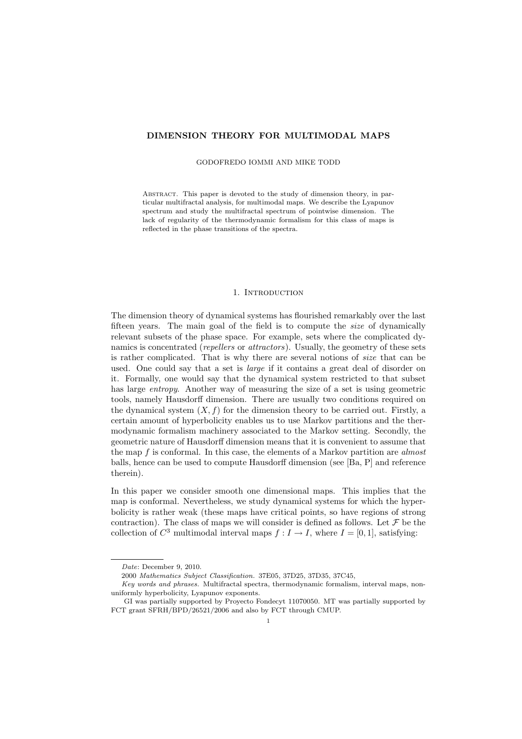# DIMENSION THEORY FOR MULTIMODAL MAPS

### GODOFREDO IOMMI AND MIKE TODD

Abstract. This paper is devoted to the study of dimension theory, in particular multifractal analysis, for multimodal maps. We describe the Lyapunov spectrum and study the multifractal spectrum of pointwise dimension. The lack of regularity of the thermodynamic formalism for this class of maps is reflected in the phase transitions of the spectra.

## 1. INTRODUCTION

The dimension theory of dynamical systems has flourished remarkably over the last fifteen years. The main goal of the field is to compute the size of dynamically relevant subsets of the phase space. For example, sets where the complicated dynamics is concentrated (*repellers* or *attractors*). Usually, the geometry of these sets is rather complicated. That is why there are several notions of size that can be used. One could say that a set is *large* if it contains a great deal of disorder on it. Formally, one would say that the dynamical system restricted to that subset has large entropy. Another way of measuring the size of a set is using geometric tools, namely Hausdorff dimension. There are usually two conditions required on the dynamical system  $(X, f)$  for the dimension theory to be carried out. Firstly, a certain amount of hyperbolicity enables us to use Markov partitions and the thermodynamic formalism machinery associated to the Markov setting. Secondly, the geometric nature of Hausdorff dimension means that it is convenient to assume that the map f is conformal. In this case, the elements of a Markov partition are almost balls, hence can be used to compute Hausdorff dimension (see [Ba, P] and reference therein).

In this paper we consider smooth one dimensional maps. This implies that the map is conformal. Nevertheless, we study dynamical systems for which the hyperbolicity is rather weak (these maps have critical points, so have regions of strong contraction). The class of maps we will consider is defined as follows. Let  $\mathcal F$  be the collection of  $C^3$  multimodal interval maps  $f: I \to I$ , where  $I = [0, 1]$ , satisfying:

Date: December 9, 2010.

<sup>2000</sup> Mathematics Subject Classification. 37E05, 37D25, 37D35, 37C45,

Key words and phrases. Multifractal spectra, thermodynamic formalism, interval maps, nonuniformly hyperbolicity, Lyapunov exponents.

GI was partially supported by Proyecto Fondecyt 11070050. MT was partially supported by FCT grant SFRH/BPD/26521/2006 and also by FCT through CMUP.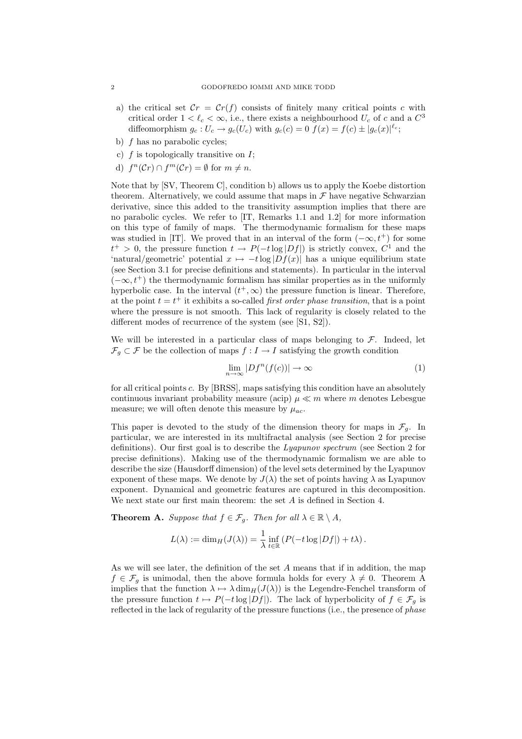- a) the critical set  $\mathcal{C}r = \mathcal{C}r(f)$  consists of finitely many critical points c with critical order  $1 < \ell_c < \infty$ , i.e., there exists a neighbourhood  $U_c$  of c and a  $C^3$ diffeomorphism  $g_c: U_c \to g_c(U_c)$  with  $g_c(c) = 0$   $f(x) = f(c) \pm |g_c(x)|^{\ell_c}$ ;
- b) f has no parabolic cycles;
- c)  $f$  is topologically transitive on  $I$ ;
- d)  $f^{n}(\mathcal{C}r) \cap f^{m}(\mathcal{C}r) = \emptyset$  for  $m \neq n$ .

Note that by [SV, Theorem C], condition b) allows us to apply the Koebe distortion theorem. Alternatively, we could assume that maps in  $\mathcal F$  have negative Schwarzian derivative, since this added to the transitivity assumption implies that there are no parabolic cycles. We refer to [IT, Remarks 1.1 and 1.2] for more information on this type of family of maps. The thermodynamic formalism for these maps was studied in [IT]. We proved that in an interval of the form  $(-\infty, t^+)$  for some  $t^+ > 0$ , the pressure function  $t \to P(-t \log |Df|)$  is strictly convex,  $C^1$  and the 'natural/geometric' potential  $x \mapsto -t \log |Df(x)|$  has a unique equilibrium state (see Section 3.1 for precise definitions and statements). In particular in the interval  $(-\infty, t^+)$  the thermodynamic formalism has similar properties as in the uniformly hyperbolic case. In the interval  $(t^+, \infty)$  the pressure function is linear. Therefore, at the point  $t = t^+$  it exhibits a so-called *first order phase transition*, that is a point where the pressure is not smooth. This lack of regularity is closely related to the different modes of recurrence of the system (see [S1, S2]).

We will be interested in a particular class of maps belonging to  $\mathcal{F}$ . Indeed, let  $\mathcal{F}_q \subset \mathcal{F}$  be the collection of maps  $f: I \to I$  satisfying the growth condition

$$
\lim_{n \to \infty} |Df^n(f(c))| \to \infty
$$
 (1)

for all critical points c. By [BRSS], maps satisfying this condition have an absolutely continuous invariant probability measure (acip)  $\mu \ll m$  where m denotes Lebesgue measure; we will often denote this measure by  $\mu_{ac}$ .

This paper is devoted to the study of the dimension theory for maps in  $\mathcal{F}_q$ . In particular, we are interested in its multifractal analysis (see Section 2 for precise definitions). Our first goal is to describe the Lyapunov spectrum (see Section 2 for precise definitions). Making use of the thermodynamic formalism we are able to describe the size (Hausdorff dimension) of the level sets determined by the Lyapunov exponent of these maps. We denote by  $J(\lambda)$  the set of points having  $\lambda$  as Lyapunov exponent. Dynamical and geometric features are captured in this decomposition. We next state our first main theorem: the set A is defined in Section 4.

**Theorem A.** Suppose that  $f \in \mathcal{F}_g$ . Then for all  $\lambda \in \mathbb{R} \setminus A$ ,

$$
L(\lambda) := \dim_H(J(\lambda)) = \frac{1}{\lambda} \inf_{t \in \mathbb{R}} \left( P(-t \log |Df|) + t\lambda \right).
$$

As we will see later, the definition of the set A means that if in addition, the map  $f \in \mathcal{F}_q$  is unimodal, then the above formula holds for every  $\lambda \neq 0$ . Theorem A implies that the function  $\lambda \mapsto \lambda \dim_H(J(\lambda))$  is the Legendre-Fenchel transform of the pressure function  $t \mapsto P(-t \log |Df|)$ . The lack of hyperbolicity of  $f \in \mathcal{F}_q$  is reflected in the lack of regularity of the pressure functions (i.e., the presence of *phase*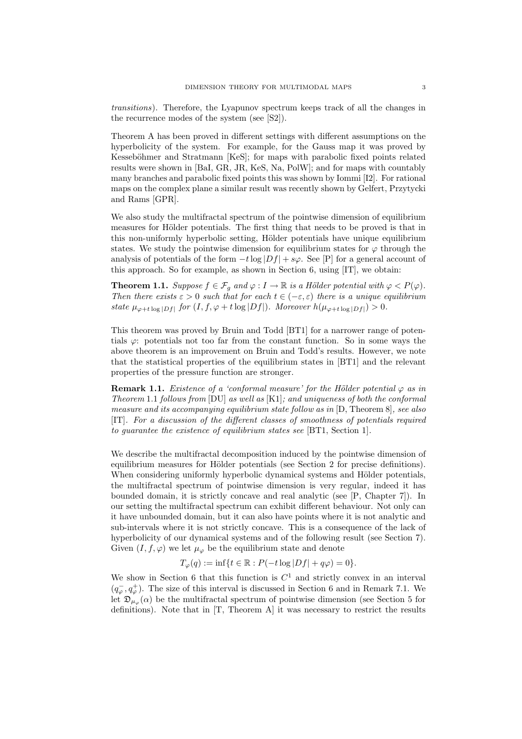transitions). Therefore, the Lyapunov spectrum keeps track of all the changes in the recurrence modes of the system (see [S2]).

Theorem A has been proved in different settings with different assumptions on the hyperbolicity of the system. For example, for the Gauss map it was proved by Kesseböhmer and Stratmann [KeS]; for maps with parabolic fixed points related results were shown in [BaI, GR, JR, KeS, Na, PolW]; and for maps with countably many branches and parabolic fixed points this was shown by Iommi [I2]. For rational maps on the complex plane a similar result was recently shown by Gelfert, Przytycki and Rams [GPR].

We also study the multifractal spectrum of the pointwise dimension of equilibrium measures for Hölder potentials. The first thing that needs to be proved is that in this non-uniformly hyperbolic setting, Hölder potentials have unique equilibrium states. We study the pointwise dimension for equilibrium states for  $\varphi$  through the analysis of potentials of the form  $-t \log |Df| + s\varphi$ . See [P] for a general account of this approach. So for example, as shown in Section 6, using [IT], we obtain:

**Theorem 1.1.** Suppose  $f \in \mathcal{F}_g$  and  $\varphi : I \to \mathbb{R}$  is a Hölder potential with  $\varphi < P(\varphi)$ . Then there exists  $\varepsilon > 0$  such that for each  $t \in (-\varepsilon, \varepsilon)$  there is a unique equilibrium state  $\mu_{\varphi+t \log|Df|}$  for  $(I, f, \varphi+t \log|Df|)$ . Moreover  $h(\mu_{\varphi+t \log|Df|}) > 0$ .

This theorem was proved by Bruin and Todd [BT1] for a narrower range of potentials  $\varphi$ : potentials not too far from the constant function. So in some ways the above theorem is an improvement on Bruin and Todd's results. However, we note that the statistical properties of the equilibrium states in [BT1] and the relevant properties of the pressure function are stronger.

**Remark 1.1.** Existence of a 'conformal measure' for the Hölder potential  $\varphi$  as in Theorem 1.1 follows from [DU] as well as [K1]; and uniqueness of both the conformal measure and its accompanying equilibrium state follow as in [D, Theorem 8], see also [IT]. For a discussion of the different classes of smoothness of potentials required to guarantee the existence of equilibrium states see [BT1, Section 1].

We describe the multifractal decomposition induced by the pointwise dimension of equilibrium measures for Hölder potentials (see Section 2 for precise definitions). When considering uniformly hyperbolic dynamical systems and Hölder potentials, the multifractal spectrum of pointwise dimension is very regular, indeed it has bounded domain, it is strictly concave and real analytic (see [P, Chapter 7]). In our setting the multifractal spectrum can exhibit different behaviour. Not only can it have unbounded domain, but it can also have points where it is not analytic and sub-intervals where it is not strictly concave. This is a consequence of the lack of hyperbolicity of our dynamical systems and of the following result (see Section 7). Given  $(I, f, \varphi)$  we let  $\mu_{\varphi}$  be the equilibrium state and denote

$$
T_{\varphi}(q) := \inf \{ t \in \mathbb{R} : P(-t \log |Df| + q\varphi) = 0 \}.
$$

We show in Section 6 that this function is  $C^1$  and strictly convex in an interval  $(q_{\varphi}^-, q_{\varphi}^+)$ . The size of this interval is discussed in Section 6 and in Remark 7.1. We let  $\mathfrak{D}_{\mu_{\varphi}}(\alpha)$  be the multifractal spectrum of pointwise dimension (see Section 5 for definitions). Note that in [T, Theorem A] it was necessary to restrict the results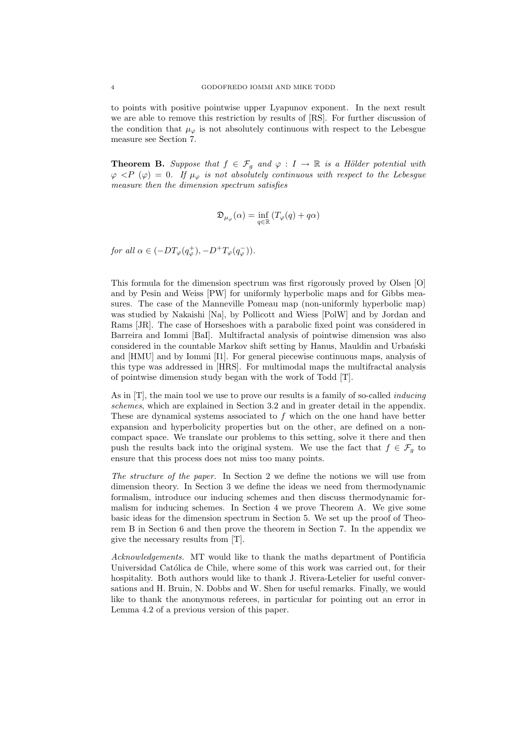to points with positive pointwise upper Lyapunov exponent. In the next result we are able to remove this restriction by results of [RS]. For further discussion of the condition that  $\mu_{\varphi}$  is not absolutely continuous with respect to the Lebesgue measure see Section 7.

**Theorem B.** Suppose that  $f \in \mathcal{F}_g$  and  $\varphi : I \to \mathbb{R}$  is a Hölder potential with  $\varphi \langle P \rangle = 0$ . If  $\mu_{\varphi}$  is not absolutely continuous with respect to the Lebesgue measure then the dimension spectrum satisfies

$$
\mathfrak{D}_{\mu_{\varphi}}(\alpha)=\inf_{q\in\mathbb{R}}\left(T_{\varphi}(q)+q\alpha\right)
$$

for all  $\alpha \in (-DT_{\varphi}(q_{\varphi}^+), -D^+T_{\varphi}(q_{\varphi}^-)).$ 

This formula for the dimension spectrum was first rigorously proved by Olsen [O] and by Pesin and Weiss [PW] for uniformly hyperbolic maps and for Gibbs measures. The case of the Manneville Pomeau map (non-uniformly hyperbolic map) was studied by Nakaishi [Na], by Pollicott and Wiess [PolW] and by Jordan and Rams [JR]. The case of Horseshoes with a parabolic fixed point was considered in Barreira and Iommi [BaI]. Multifractal analysis of pointwise dimension was also considered in the countable Markov shift setting by Hanus, Mauldin and Urbański and [HMU] and by Iommi [I1]. For general piecewise continuous maps, analysis of this type was addressed in [HRS]. For multimodal maps the multifractal analysis of pointwise dimension study began with the work of Todd [T].

As in  $[T]$ , the main tool we use to prove our results is a family of so-called *inducing* schemes, which are explained in Section 3.2 and in greater detail in the appendix. These are dynamical systems associated to f which on the one hand have better expansion and hyperbolicity properties but on the other, are defined on a noncompact space. We translate our problems to this setting, solve it there and then push the results back into the original system. We use the fact that  $f \in \mathcal{F}_q$  to ensure that this process does not miss too many points.

The structure of the paper. In Section 2 we define the notions we will use from dimension theory. In Section 3 we define the ideas we need from thermodynamic formalism, introduce our inducing schemes and then discuss thermodynamic formalism for inducing schemes. In Section 4 we prove Theorem A. We give some basic ideas for the dimension spectrum in Section 5. We set up the proof of Theorem B in Section 6 and then prove the theorem in Section 7. In the appendix we give the necessary results from [T].

Acknowledgements. MT would like to thank the maths department of Pontificia Universidad Católica de Chile, where some of this work was carried out, for their hospitality. Both authors would like to thank J. Rivera-Letelier for useful conversations and H. Bruin, N. Dobbs and W. Shen for useful remarks. Finally, we would like to thank the anonymous referees, in particular for pointing out an error in Lemma 4.2 of a previous version of this paper.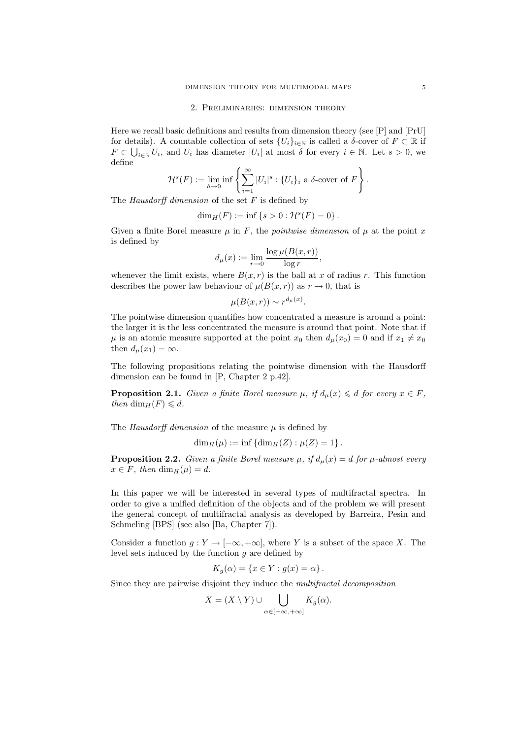#### 2. Preliminaries: dimension theory

Here we recall basic definitions and results from dimension theory (see [P] and [PrU] for details). A countable collection of sets  $\{U_i\}_{i\in\mathbb{N}}$  is called a  $\delta$ -cover of  $F\subset\mathbb{R}$  if  $F \subset \bigcup_{i \in \mathbb{N}} U_i$ , and  $U_i$  has diameter  $|U_i|$  at most  $\delta$  for every  $i \in \mathbb{N}$ . Let  $s > 0$ , we define

$$
\mathcal{H}^s(F) := \lim_{\delta \to 0} \inf \left\{ \sum_{i=1}^{\infty} |U_i|^s : \{U_i\}_i \text{ a } \delta\text{-cover of } F \right\}.
$$

The Hausdorff dimension of the set  $F$  is defined by

$$
\dim_H(F):=\inf\left\{s>0:\mathcal{H}^s(F)=0\right\}.
$$

Given a finite Borel measure  $\mu$  in F, the *pointwise dimension* of  $\mu$  at the point x is defined by

$$
d_{\mu}(x) := \lim_{r \to 0} \frac{\log \mu(B(x, r))}{\log r},
$$

whenever the limit exists, where  $B(x, r)$  is the ball at x of radius r. This function describes the power law behaviour of  $\mu(B(x, r))$  as  $r \to 0$ , that is

$$
\mu(B(x,r)) \sim r^{d_{\mu}(x)}.
$$

The pointwise dimension quantifies how concentrated a measure is around a point: the larger it is the less concentrated the measure is around that point. Note that if  $\mu$  is an atomic measure supported at the point  $x_0$  then  $d_{\mu}(x_0) = 0$  and if  $x_1 \neq x_0$ then  $d_{\mu}(x_1) = \infty$ .

The following propositions relating the pointwise dimension with the Hausdorff dimension can be found in [P, Chapter 2 p.42].

**Proposition 2.1.** Given a finite Borel measure  $\mu$ , if  $d_{\mu}(x) \leq d$  for every  $x \in F$ , then  $\dim_H(F) \leq d$ .

The Hausdorff dimension of the measure  $\mu$  is defined by

$$
\dim_H(\mu) := \inf \left\{ \dim_H(Z) : \mu(Z) = 1 \right\}.
$$

**Proposition 2.2.** Given a finite Borel measure  $\mu$ , if  $d_{\mu}(x) = d$  for  $\mu$ -almost every  $x \in F$ , then  $\dim_H(\mu) = d$ .

In this paper we will be interested in several types of multifractal spectra. In order to give a unified definition of the objects and of the problem we will present the general concept of multifractal analysis as developed by Barreira, Pesin and Schmeling [BPS] (see also [Ba, Chapter 7]).

Consider a function  $g: Y \to [-\infty, +\infty]$ , where Y is a subset of the space X. The level sets induced by the function  $g$  are defined by

$$
K_g(\alpha) = \{x \in Y : g(x) = \alpha\}.
$$

Since they are pairwise disjoint they induce the multifractal decomposition

$$
X = (X \setminus Y) \cup \bigcup_{\alpha \in [-\infty, +\infty]} K_g(\alpha).
$$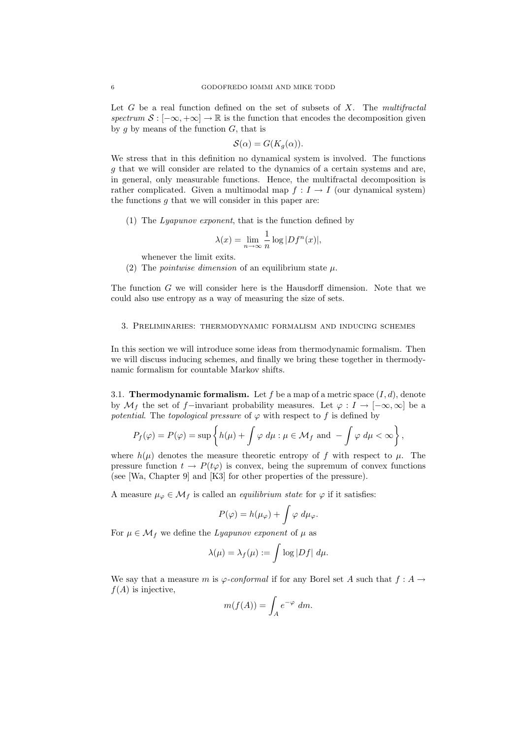Let  $G$  be a real function defined on the set of subsets of  $X$ . The *multifractal* spectrum  $S : [-\infty, +\infty] \to \mathbb{R}$  is the function that encodes the decomposition given by g by means of the function  $G$ , that is

$$
\mathcal{S}(\alpha) = G(K_g(\alpha)).
$$

We stress that in this definition no dynamical system is involved. The functions g that we will consider are related to the dynamics of a certain systems and are, in general, only measurable functions. Hence, the multifractal decomposition is rather complicated. Given a multimodal map  $f: I \to I$  (our dynamical system) the functions  $g$  that we will consider in this paper are:

(1) The Lyapunov exponent, that is the function defined by

$$
\lambda(x) = \lim_{n \to \infty} \frac{1}{n} \log |Df^n(x)|,
$$

whenever the limit exits.

(2) The *pointwise dimension* of an equilibrium state  $\mu$ .

The function G we will consider here is the Hausdorff dimension. Note that we could also use entropy as a way of measuring the size of sets.

# 3. Preliminaries: thermodynamic formalism and inducing schemes

In this section we will introduce some ideas from thermodynamic formalism. Then we will discuss inducing schemes, and finally we bring these together in thermodynamic formalism for countable Markov shifts.

3.1. **Thermodynamic formalism.** Let f be a map of a metric space  $(I, d)$ , denote by  $\mathcal{M}_f$  the set of f−invariant probability measures. Let  $\varphi: I \to [-\infty, \infty]$  be a potential. The topological pressure of  $\varphi$  with respect to f is defined by

$$
P_f(\varphi) = P(\varphi) = \sup \left\{ h(\mu) + \int \varphi \, d\mu : \mu \in \mathcal{M}_f \text{ and } -\int \varphi \, d\mu < \infty \right\},\
$$

where  $h(\mu)$  denotes the measure theoretic entropy of f with respect to  $\mu$ . The pressure function  $t \to P(t\varphi)$  is convex, being the supremum of convex functions (see [Wa, Chapter 9] and [K3] for other properties of the pressure).

A measure  $\mu_{\varphi} \in \mathcal{M}_f$  is called an *equilibrium state* for  $\varphi$  if it satisfies:

$$
P(\varphi) = h(\mu_{\varphi}) + \int \varphi \, d\mu_{\varphi}.
$$

For  $\mu \in \mathcal{M}_f$  we define the Lyapunov exponent of  $\mu$  as

$$
\lambda(\mu) = \lambda_f(\mu) := \int \log |Df| \ d\mu.
$$

We say that a measure m is  $\varphi$ -conformal if for any Borel set A such that  $f : A \to$  $f(A)$  is injective,

$$
m(f(A)) = \int_A e^{-\varphi} dm.
$$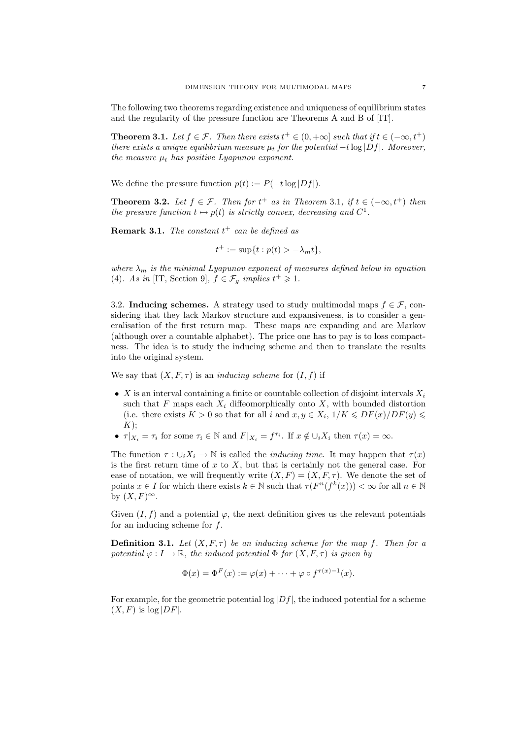The following two theorems regarding existence and uniqueness of equilibrium states and the regularity of the pressure function are Theorems A and B of [IT].

**Theorem 3.1.** Let  $f \in \mathcal{F}$ . Then there exists  $t^+ \in (0, +\infty]$  such that if  $t \in (-\infty, t^+)$ there exists a unique equilibrium measure  $\mu_t$  for the potential  $-t \log |Df|$ . Moreover, the measure  $\mu_t$  has positive Lyapunov exponent.

We define the pressure function  $p(t) := P(-t \log |Df|)$ .

**Theorem 3.2.** Let  $f \in \mathcal{F}$ . Then for  $t^+$  as in Theorem 3.1, if  $t \in (-\infty, t^+)$  then the pressure function  $t \mapsto p(t)$  is strictly convex, decreasing and  $C^1$ .

**Remark 3.1.** The constant  $t^+$  can be defined as

$$
t^+ := \sup\{t : p(t) > -\lambda_m t\},\
$$

where  $\lambda_m$  is the minimal Lyapunov exponent of measures defined below in equation (4). As in [IT, Section 9],  $f \in \mathcal{F}_g$  implies  $t^+ \geq 1$ .

3.2. Inducing schemes. A strategy used to study multimodal maps  $f \in \mathcal{F}$ , considering that they lack Markov structure and expansiveness, is to consider a generalisation of the first return map. These maps are expanding and are Markov (although over a countable alphabet). The price one has to pay is to loss compactness. The idea is to study the inducing scheme and then to translate the results into the original system.

We say that  $(X, F, \tau)$  is an *inducing scheme* for  $(I, f)$  if

- X is an interval containing a finite or countable collection of disjoint intervals  $X_i$ such that F maps each  $X_i$  diffeomorphically onto X, with bounded distortion (i.e. there exists  $K > 0$  so that for all i and  $x, y \in X_i$ ,  $1/K \leqslant DF(x)/DF(y) \leqslant$  $K);$
- $\tau |_{X_i} = \tau_i$  for some  $\tau_i \in \mathbb{N}$  and  $F|_{X_i} = f^{\tau_i}$ . If  $x \notin \bigcup_i X_i$  then  $\tau(x) = \infty$ .

The function  $\tau : \bigcup_i X_i \to \mathbb{N}$  is called the *inducing time*. It may happen that  $\tau(x)$ is the first return time of  $x$  to  $X$ , but that is certainly not the general case. For ease of notation, we will frequently write  $(X, F) = (X, F, \tau)$ . We denote the set of points  $x \in I$  for which there exists  $k \in \mathbb{N}$  such that  $\tau(F^n(f^k(x))) < \infty$  for all  $n \in \mathbb{N}$ by  $(X, F)^\infty$ .

Given  $(I, f)$  and a potential  $\varphi$ , the next definition gives us the relevant potentials for an inducing scheme for f.

**Definition 3.1.** Let  $(X, F, \tau)$  be an inducing scheme for the map f. Then for a potential  $\varphi: I \to \mathbb{R}$ , the induced potential  $\Phi$  for  $(X, F, \tau)$  is given by

$$
\Phi(x) = \Phi^F(x) := \varphi(x) + \cdots + \varphi \circ f^{\tau(x)-1}(x).
$$

For example, for the geometric potential log  $|Df|$ , the induced potential for a scheme  $(X, F)$  is  $log |DF|$ .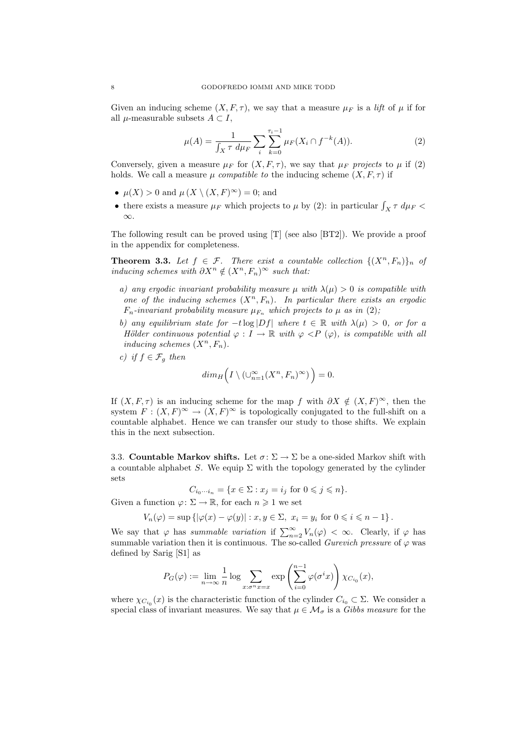Given an inducing scheme  $(X, F, \tau)$ , we say that a measure  $\mu_F$  is a lift of  $\mu$  if for all  $\mu$ -measurable subsets  $A \subset I$ ,

$$
\mu(A) = \frac{1}{\int_X \tau \, d\mu_F} \sum_i \sum_{k=0}^{\tau_i - 1} \mu_F(X_i \cap f^{-k}(A)). \tag{2}
$$

Conversely, given a measure  $\mu_F$  for  $(X, F, \tau)$ , we say that  $\mu_F$  projects to  $\mu$  if (2) holds. We call a measure  $\mu$  compatible to the inducing scheme  $(X, F, \tau)$  if

- $\mu(X) > 0$  and  $\mu(X \setminus (X, F)^\infty) = 0$ ; and
- there exists a measure  $\mu_F$  which projects to  $\mu$  by (2): in particular  $\int_X \tau \ d\mu_F$  < ∞.

The following result can be proved using [T] (see also [BT2]). We provide a proof in the appendix for completeness.

**Theorem 3.3.** Let  $f \in \mathcal{F}$ . There exist a countable collection  $\{(X^n, F_n)\}_n$  of *inducing schemes with*  $\partial X^n \notin (X^n, F_n)^\infty$  *such that:* 

- a) any ergodic invariant probability measure  $\mu$  with  $\lambda(\mu) > 0$  is compatible with one of the inducing schemes  $(X^n, F_n)$ . In particular there exists an ergodic  $F_n$ -invariant probability measure  $\mu_{F_n}$  which projects to  $\mu$  as in (2);
- b) any equilibrium state for  $-t \log|Df|$  where  $t \in \mathbb{R}$  with  $\lambda(\mu) > 0$ , or for a Hölder continuous potential  $\varphi : I \to \mathbb{R}$  with  $\varphi < P$  ( $\varphi$ ), is compatible with all inducing schemes  $(X^n, F_n)$ .
- c) if  $f \in \mathcal{F}_g$  then

$$
dim_H\Big(I\setminus (\cup_{n=1}^\infty (X^n,F_n)^\infty)\Big)=0.
$$

If  $(X, F, \tau)$  is an inducing scheme for the map f with  $\partial X \notin (X, F)^\infty$ , then the system  $F: (X, F)^\infty \to (X, F)^\infty$  is topologically conjugated to the full-shift on a countable alphabet. Hence we can transfer our study to those shifts. We explain this in the next subsection.

3.3. Countable Markov shifts. Let  $\sigma: \Sigma \to \Sigma$  be a one-sided Markov shift with a countable alphabet S. We equip  $\Sigma$  with the topology generated by the cylinder sets

$$
C_{i_0\cdots i_n} = \{x \in \Sigma : x_j = i_j \text{ for } 0 \leqslant j \leqslant n\}.
$$

Given a function  $\varphi: \Sigma \to \mathbb{R}$ , for each  $n \geq 1$  we set

$$
V_n(\varphi) = \sup \left\{ |\varphi(x) - \varphi(y)| : x, y \in \Sigma, \ x_i = y_i \text{ for } 0 \leqslant i \leqslant n - 1 \right\}.
$$

We say that  $\varphi$  has summable variation if  $\sum_{n=2}^{\infty} V_n(\varphi) < \infty$ . Clearly, if  $\varphi$  has summable variation then it is continuous. The so-called Gurevich pressure of  $\varphi$  was defined by Sarig [S1] as

$$
P_G(\varphi) := \lim_{n \to \infty} \frac{1}{n} \log \sum_{x: \sigma^n x = x} \exp \left( \sum_{i=0}^{n-1} \varphi(\sigma^i x) \right) \chi_{C_{i_0}}(x),
$$

where  $\chi_{C_{i_0}}(x)$  is the characteristic function of the cylinder  $C_{i_0} \subset \Sigma$ . We consider a special class of invariant measures. We say that  $\mu \in \mathcal{M}_{\sigma}$  is a Gibbs measure for the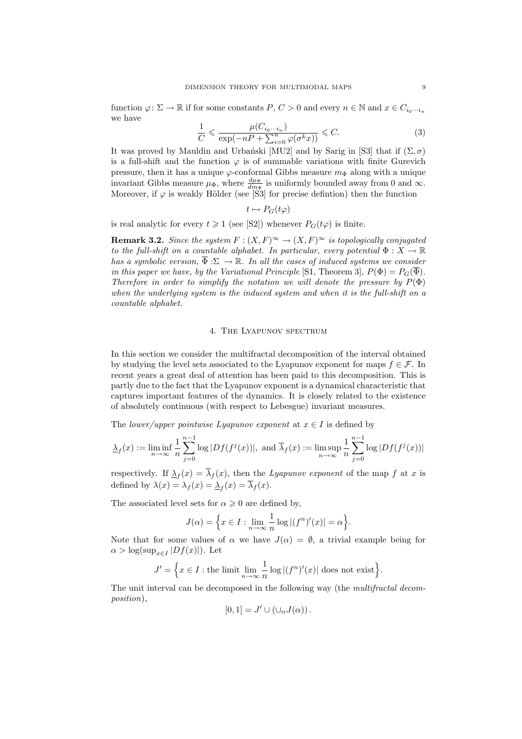function  $\varphi: \Sigma \to \mathbb{R}$  if for some constants  $P, C > 0$  and every  $n \in \mathbb{N}$  and  $x \in C_{i_0 \cdots i_n}$ we have

$$
\frac{1}{C} \leq \frac{\mu(C_{i_0 \cdots i_n})}{\exp(-nP + \sum_{i=0}^n \varphi(\sigma^k x))} \leq C. \tag{3}
$$

It was proved by Mauldin and Urbański [MU2] and by Sarig in [S3] that if  $(\Sigma, \sigma)$ is a full-shift and the function  $\varphi$  is of summable variations with finite Gurevich pressure, then it has a unique  $\varphi$ -conformal Gibbs measure  $m_{\Phi}$  along with a unique invariant Gibbs measure  $\mu_{\Phi}$ , where  $\frac{d\mu_{\Phi}}{dm_{\Phi}}$  is uniformly bounded away from 0 and  $\infty$ . Moreover, if  $\varphi$  is weakly Hölder (see [S3] for precise defintion) then the function

$$
t\mapsto P_G(t\varphi)
$$

is real analytic for every  $t \geq 1$  (see [S2]) whenever  $P_G(t\varphi)$  is finite.

**Remark 3.2.** Since the system  $F : (X, F)^{\infty} \to (X, F)^{\infty}$  is topologically conjugated to the full-shift on a countable alphabet. In particular, every potential  $\Phi: X \to \mathbb{R}$ has a symbolic version,  $\overline{\Phi} : \Sigma \to \mathbb{R}$ . In all the cases of induced systems we consider in this paper we have, by the Variational Principle [S1, Theorem 3],  $P(\Phi) = P_G(\overline{\Phi})$ . Therefore in order to simplify the notation we will denote the pressure by  $P(\Phi)$ when the underlying system is the induced system and when it is the full-shift on a countable alphabet.

### 4. The Lyapunov spectrum

In this section we consider the multifractal decomposition of the interval obtained by studying the level sets associated to the Lyapunov exponent for maps  $f \in \mathcal{F}$ . In recent years a great deal of attention has been paid to this decomposition. This is partly due to the fact that the Lyapunov exponent is a dynamical characteristic that captures important features of the dynamics. It is closely related to the existence of absolutely continuous (with respect to Lebesgue) invariant measures.

The lower/upper pointwise Lyapunov exponent at  $x \in I$  is defined by

$$
\underline{\lambda}_f(x) := \liminf_{n \to \infty} \frac{1}{n} \sum_{j=0}^{n-1} \log |Df(f^j(x))|, \text{ and } \overline{\lambda}_f(x) := \limsup_{n \to \infty} \frac{1}{n} \sum_{j=0}^{n-1} \log |Df(f^j(x))|
$$

respectively. If  $\Delta_f(x) = \overline{\lambda}_f(x)$ , then the Lyapunov exponent of the map f at x is defined by  $\lambda(x) = \lambda_f(x) = \lambda_f(x) = \overline{\lambda}_f(x)$ .

The associated level sets for  $\alpha \geq 0$  are defined by,

$$
J(\alpha) = \left\{ x \in I : \lim_{n \to \infty} \frac{1}{n} \log |(f^n)'(x)| = \alpha \right\}.
$$

Note that for some values of  $\alpha$  we have  $J(\alpha) = \emptyset$ , a trivial example being for  $\alpha > \log(\sup_{x \in I} |Df(x)|)$ . Let

$$
J' = \Big\{ x \in I : \text{the limit } \lim_{n \to \infty} \frac{1}{n} \log |(f^n)'(x)| \text{ does not exist} \Big\}.
$$

The unit interval can be decomposed in the following way (the multifractal decomposition),

$$
[0,1] = J' \cup (\cup_{\alpha} J(\alpha)).
$$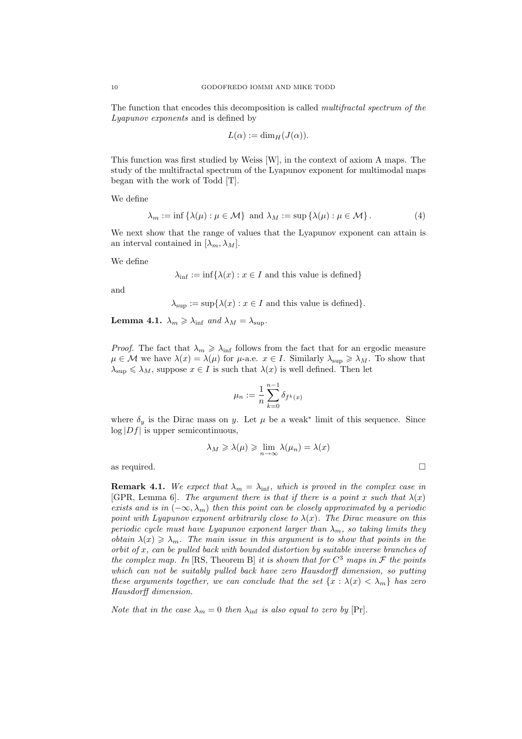The function that encodes this decomposition is called multifractal spectrum of the Lyapunov exponents and is defined by

$$
L(\alpha) := \dim_H(J(\alpha)).
$$

This function was first studied by Weiss [W], in the context of axiom A maps. The study of the multifractal spectrum of the Lyapunov exponent for multimodal maps began with the work of Todd [T].

We define

$$
\lambda_m := \inf \{ \lambda(\mu) : \mu \in \mathcal{M} \} \text{ and } \lambda_M := \sup \{ \lambda(\mu) : \mu \in \mathcal{M} \}. \tag{4}
$$

We next show that the range of values that the Lyapunov exponent can attain is an interval contained in  $[\lambda_m, \lambda_M]$ .

We define

$$
\lambda_{\inf} := \inf \{ \lambda(x) : x \in I \text{ and this value is defined} \}
$$

and

$$
\lambda_{\sup} := \sup \{ \lambda(x) : x \in I \text{ and this value is defined} \}.
$$

**Lemma 4.1.**  $\lambda_m \geq \lambda_{\text{inf}}$  and  $\lambda_M = \lambda_{\text{sup}}$ .

*Proof.* The fact that  $\lambda_m \geq \lambda_{\text{inf}}$  follows from the fact that for an ergodic measure  $\mu \in \mathcal{M}$  we have  $\lambda(x) = \lambda(\mu)$  for  $\mu$ -a.e.  $x \in I$ . Similarly  $\lambda_{\sup} \geq \lambda_M$ . To show that  $\lambda_{\sup} \leq \lambda_M$ , suppose  $x \in I$  is such that  $\lambda(x)$  is well defined. Then let

$$
\mu_n := \frac{1}{n} \sum_{k=0}^{n-1} \delta_{f^k(x)}
$$

where  $\delta_y$  is the Dirac mass on y. Let  $\mu$  be a weak<sup>\*</sup> limit of this sequence. Since  $\log|Df|$  is upper semicontinuous,

$$
\lambda_M \geqslant \lambda(\mu) \geqslant \lim_{n \to \infty} \lambda(\mu_n) = \lambda(x)
$$

as required.

**Remark 4.1.** We expect that  $\lambda_m = \lambda_{\text{inf}}$ , which is proved in the complex case in [GPR, Lemma 6]. The argument there is that if there is a point x such that  $\lambda(x)$ exists and is in  $(-\infty, \lambda_m)$  then this point can be closely approximated by a periodic point with Lyapunov exponent arbitrarily close to  $\lambda(x)$ . The Dirac measure on this periodic cycle must have Lyapunov exponent larger than  $\lambda_m$ , so taking limits they obtain  $\lambda(x) \geq \lambda_m$ . The main issue in this argument is to show that points in the  $orbit of x$ , can be pulled back with bounded distortion by suitable inverse branches of the complex map. In [RS, Theorem B] it is shown that for  $C^3$  maps in  $\mathcal F$  the points which can not be suitably pulled back have zero Hausdorff dimension, so putting these arguments together, we can conclude that the set  $\{x : \lambda(x) < \lambda_m\}$  has zero Hausdorff dimension.

Note that in the case  $\lambda_m = 0$  then  $\lambda_{\rm inf}$  is also equal to zero by [Pr].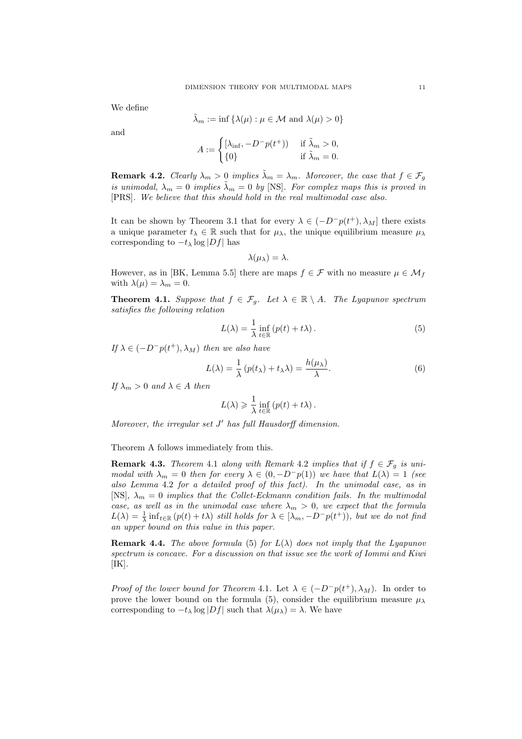We define

$$
\tilde{\lambda}_m := \inf \{ \lambda(\mu) : \mu \in \mathcal{M} \text{ and } \lambda(\mu) > 0 \}
$$

and

$$
A := \begin{cases} [\lambda_{\inf}, -D^{-}p(t^{+})) & \text{if } \tilde{\lambda}_{m} > 0, \\ \{0\} & \text{if } \tilde{\lambda}_{m} = 0. \end{cases}
$$

**Remark 4.2.** Clearly  $\lambda_m > 0$  implies  $\lambda_m = \lambda_m$ . Moreover, the case that  $f \in \mathcal{F}_g$ is unimodal,  $\lambda_m = 0$  implies  $\tilde{\lambda}_m = 0$  by [NS]. For complex maps this is proved in [PRS]. We believe that this should hold in the real multimodal case also.

It can be shown by Theorem 3.1 that for every  $\lambda \in (-D^{-}p(t^{+}), \lambda_{M}]$  there exists a unique parameter  $t_{\lambda} \in \mathbb{R}$  such that for  $\mu_{\lambda}$ , the unique equilibrium measure  $\mu_{\lambda}$ corresponding to  $-t_\lambda \log|Df|$  has

$$
\lambda(\mu_{\lambda})=\lambda.
$$

However, as in [BK, Lemma 5.5] there are maps  $f \in \mathcal{F}$  with no measure  $\mu \in \mathcal{M}_f$ with  $\lambda(\mu) = \lambda_m = 0$ .

**Theorem 4.1.** Suppose that  $f \in \mathcal{F}_q$ . Let  $\lambda \in \mathbb{R} \setminus A$ . The Lyapunov spectrum satisfies the following relation

$$
L(\lambda) = \frac{1}{\lambda} \inf_{t \in \mathbb{R}} \left( p(t) + t\lambda \right). \tag{5}
$$

If  $\lambda \in (-D^-p(t^+), \lambda_M)$  then we also have

$$
L(\lambda) = \frac{1}{\lambda} (p(t_{\lambda}) + t_{\lambda}\lambda) = \frac{h(\mu_{\lambda})}{\lambda}.
$$
 (6)

If  $\lambda_m > 0$  and  $\lambda \in A$  then

$$
L(\lambda) \geq \frac{1}{\lambda} \inf_{t \in \mathbb{R}} (p(t) + t\lambda).
$$

Moreover, the irregular set  $J'$  has full Hausdorff dimension.

Theorem A follows immediately from this.

**Remark 4.3.** Theorem 4.1 along with Remark 4.2 implies that if  $f \in \mathcal{F}_g$  is unimodal with  $\lambda_m = 0$  then for every  $\lambda \in (0, -D^-p(1))$  we have that  $L(\lambda) = 1$  (see also Lemma 4.2 for a detailed proof of this fact). In the unimodal case, as in [NS],  $\lambda_m = 0$  implies that the Collet-Eckmann condition fails. In the multimodal case, as well as in the unimodal case where  $\lambda_m > 0$ , we expect that the formula  $L(\lambda) = \frac{1}{\lambda} \inf_{t \in \mathbb{R}} (p(t) + t\lambda)$  still holds for  $\lambda \in [\lambda_m, -D^-p(t^+)),$  but we do not find an upper bound on this value in this paper.

**Remark 4.4.** The above formula (5) for  $L(\lambda)$  does not imply that the Lyapunov spectrum is concave. For a discussion on that issue see the work of Iommi and Kiwi  $[IK].$ 

*Proof of the lower bound for Theorem 4.1.* Let  $\lambda \in (-D^{-}p(t^{+}), \lambda_{M})$ . In order to prove the lower bound on the formula (5), consider the equilibrium measure  $\mu_{\lambda}$ corresponding to  $-t_\lambda \log|Df|$  such that  $\lambda(\mu_\lambda) = \lambda$ . We have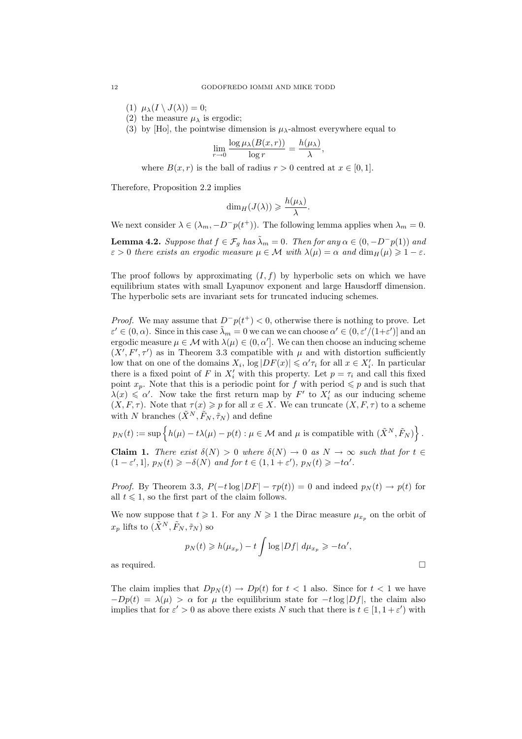- (1)  $\mu_{\lambda}(I \setminus J(\lambda)) = 0;$
- (2) the measure  $\mu_{\lambda}$  is ergodic;
- (3) by [Ho], the pointwise dimension is  $\mu_{\lambda}$ -almost everywhere equal to

$$
\lim_{r \to 0} \frac{\log \mu_{\lambda}(B(x,r))}{\log r} = \frac{h(\mu_{\lambda})}{\lambda},
$$

where  $B(x, r)$  is the ball of radius  $r > 0$  centred at  $x \in [0, 1]$ .

Therefore, Proposition 2.2 implies

$$
\dim_H(J(\lambda)) \geqslant \frac{h(\mu_\lambda)}{\lambda}.
$$

We next consider  $\lambda \in (\lambda_m, -D^-p(t^+))$ . The following lemma applies when  $\lambda_m = 0$ .

**Lemma 4.2.** Suppose that  $f \in \mathcal{F}_q$  has  $\tilde{\lambda}_m = 0$ . Then for any  $\alpha \in (0, -D^-p(1))$  and  $\varepsilon > 0$  there exists an ergodic measure  $\mu \in \mathcal{M}$  with  $\lambda(\mu) = \alpha$  and  $\dim_H(\mu) \geq 1 - \varepsilon$ .

The proof follows by approximating  $(I, f)$  by hyperbolic sets on which we have equilibrium states with small Lyapunov exponent and large Hausdorff dimension. The hyperbolic sets are invariant sets for truncated inducing schemes.

*Proof.* We may assume that  $D^-p(t^+) < 0$ , otherwise there is nothing to prove. Let  $\varepsilon' \in (0, \alpha)$ . Since in this case  $\tilde{\lambda}_m = 0$  we can we can choose  $\alpha' \in (0, \varepsilon'/(1+\varepsilon'))$  and an ergodic measure  $\mu \in \mathcal{M}$  with  $\lambda(\mu) \in (0, \alpha']$ . We can then choose an inducing scheme  $(X', F', \tau')$  as in Theorem 3.3 compatible with  $\mu$  and with distortion sufficiently low that on one of the domains  $X_i$ ,  $\log|DF(x)| \leq \alpha' \tau_i$  for all  $x \in X'_i$ . In particular there is a fixed point of F in  $X'_i$  with this property. Let  $p = \tau_i$  and call this fixed point  $x_p$ . Note that this is a periodic point for f with period  $\leqslant p$  and is such that  $\lambda(x) \leq \alpha'$ . Now take the first return map by  $F'$  to  $X'_{i}$  as our inducing scheme  $(X, F, \tau)$ . Note that  $\tau(x) \geq p$  for all  $x \in X$ . We can truncate  $(X, F, \tau)$  to a scheme with N branches  $(\tilde{X}^N, \tilde{F}_N, \tilde{\tau}_N)$  and define

 $p_N(t) := \sup \{ h(\mu) - t\lambda(\mu) - p(t) : \mu \in \mathcal{M} \text{ and } \mu \text{ is compatible with } (\tilde{X}^N, \tilde{F}_N) \}$ .

**Claim 1.** There exist  $\delta(N) > 0$  where  $\delta(N) \to 0$  as  $N \to \infty$  such that for  $t \in$  $(1 - \varepsilon', 1], p_N(t) \geqslant -\delta(N)$  and for  $t \in (1, 1 + \varepsilon'), p_N(t) \geqslant -t\alpha'.$ 

*Proof.* By Theorem 3.3,  $P(-t \log |DF| - \tau p(t)) = 0$  and indeed  $p_N(t) \to p(t)$  for all  $t \leq 1$ , so the first part of the claim follows.

We now suppose that  $t \geq 1$ . For any  $N \geq 1$  the Dirac measure  $\mu_{x_n}$  on the orbit of  $x_p$  lifts to  $(\tilde{X}^N, \tilde{F}_N, \tilde{\tau}_N)$  so

$$
p_N(t) \ge h(\mu_{x_p}) - t \int \log |Df| \ d\mu_{x_p} \ge -t\alpha',
$$
 as required.

The claim implies that  $Dp_N(t) \to Dp(t)$  for  $t < 1$  also. Since for  $t < 1$  we have  $-Dp(t) = \lambda(\mu) > \alpha$  for  $\mu$  the equilibrium state for  $-t \log |Df|$ , the claim also implies that for  $\varepsilon' > 0$  as above there exists N such that there is  $t \in [1, 1 + \varepsilon')$  with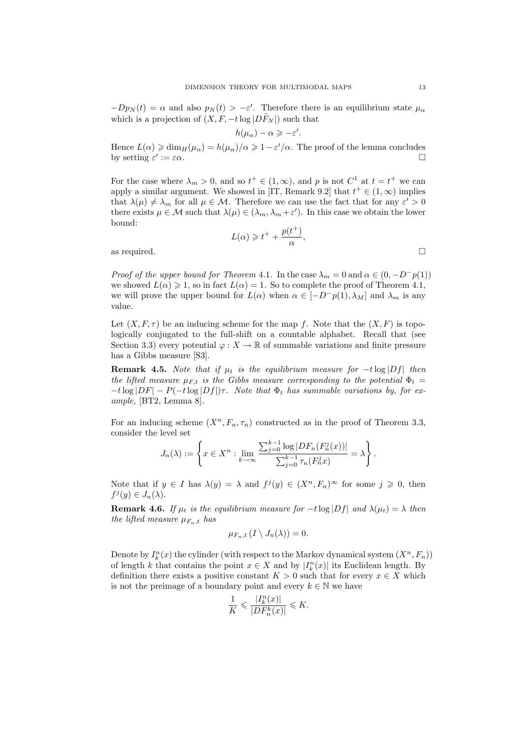$-Dp_N(t) = \alpha$  and also  $p_N(t) > -\varepsilon'$ . Therefore there is an equilibrium state  $\mu_\alpha$ which is a projection of  $(X, F, -t \log |DF_N|)$  such that

$$
h(\mu_{\alpha}) - \alpha \geqslant -\varepsilon'.
$$

Hence  $L(\alpha) \geq \dim_H(\mu_\alpha) = h(\mu_\alpha)/\alpha \geq 1 - \varepsilon'/\alpha$ . The proof of the lemma concludes by setting  $\varepsilon' := \varepsilon \alpha$ .

For the case where  $\lambda_m > 0$ , and so  $t^+ \in (1, \infty)$ , and p is not  $C^1$  at  $t = t^+$  we can apply a similar argument. We showed in [IT, Remark 9.2] that  $t^+ \in (1,\infty)$  implies that  $\lambda(\mu) \neq \lambda_m$  for all  $\mu \in \mathcal{M}$ . Therefore we can use the fact that for any  $\varepsilon' > 0$ there exists  $\mu \in \mathcal{M}$  such that  $\lambda(\mu) \in (\lambda_m, \lambda_m + \varepsilon')$ . In this case we obtain the lower bound:

$$
L(\alpha) \geq t^+ + \frac{p(t^+)}{\alpha},
$$

as required.

*Proof of the upper bound for Theorem 4.1.* In the case  $\lambda_m = 0$  and  $\alpha \in (0, -D^p p(1))$ we showed  $L(\alpha) \geq 1$ , so in fact  $L(\alpha) = 1$ . So to complete the proof of Theorem 4.1, we will prove the upper bound for  $L(\alpha)$  when  $\alpha \in [-D^-p(1), \lambda_M]$  and  $\lambda_m$  is any value.

Let  $(X, F, \tau)$  be an inducing scheme for the map f. Note that the  $(X, F)$  is topologically conjugated to the full-shift on a countable alphabet. Recall that (see Section 3.3) every potential  $\varphi: X \to \mathbb{R}$  of summable variations and finite pressure has a Gibbs measure [S3].

**Remark 4.5.** Note that if  $\mu_t$  is the equilibrium measure for  $-t \log|Df|$  then the lifted measure  $\mu_{F,t}$  is the Gibbs measure corresponding to the potential  $\Phi_t =$  $-t\log|DF| - P(-t\log|Df|)\tau$ . Note that  $\Phi_t$  has summable variations by, for example, [BT2, Lemma 8].

For an inducing scheme  $(X^n, F_n, \tau_n)$  constructed as in the proof of Theorem 3.3, consider the level set

$$
J_n(\lambda) := \left\{ x \in X^n : \lim_{k \to \infty} \frac{\sum_{j=0}^{k-1} \log |DF_n(F_n^j(x))|}{\sum_{j=0}^{k-1} \tau_n(F_n^j(x))} = \lambda \right\}.
$$

Note that if  $y \in I$  has  $\lambda(y) = \lambda$  and  $f^j(y) \in (X^n, F_n)^\infty$  for some  $j \geq 0$ , then  $f^j(y) \in J_n(\lambda)$ .

**Remark 4.6.** If  $\mu_t$  is the equilibrium measure for  $-t \log|Df|$  and  $\lambda(\mu_t) = \lambda$  then the lifted measure  $\mu_{F_n,t}$  has

$$
\mu_{F_n,t}\left(I\setminus J_n(\lambda)\right)=0.
$$

Denote by  $I_k^n(x)$  the cylinder (with respect to the Markov dynamical system  $(X^n, F_n)$ ) of length k that contains the point  $x \in X$  and by  $|I_k^n(x)|$  its Euclidean length. By definition there exists a positive constant  $K > 0$  such that for every  $x \in X$  which is not the preimage of a boundary point and every  $k \in \mathbb{N}$  we have

$$
\frac{1}{K}\leqslant \frac{|I^n_k(x)|}{|DF^k_n(x)|}\leqslant K.
$$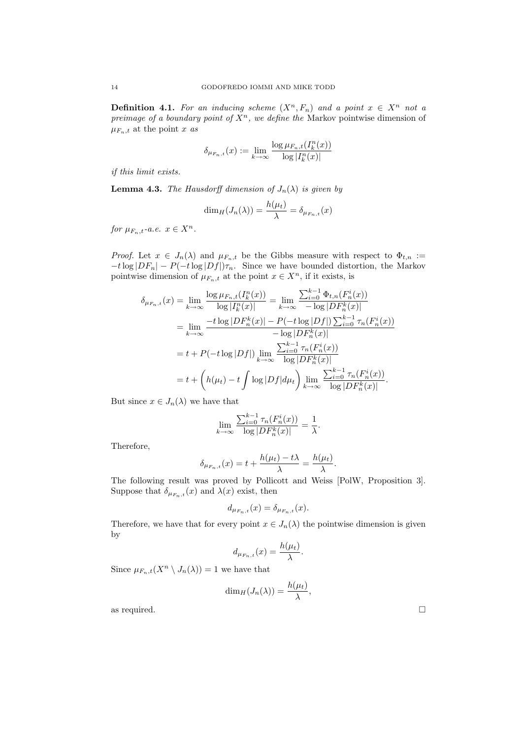**Definition 4.1.** For an inducing scheme  $(X^n, F_n)$  and a point  $x \in X^n$  not a preimage of a boundary point of  $X^n$ , we define the Markov pointwise dimension of  $\mu_{F_n,t}$  at the point x as

$$
\delta_{\mu_{F_n,t}}(x) := \lim_{k \to \infty} \frac{\log \mu_{F_n,t}(I_k^n(x))}{\log |I_k^n(x)|}
$$

if this limit exists.

**Lemma 4.3.** The Hausdorff dimension of  $J_n(\lambda)$  is given by

$$
\dim_H(J_n(\lambda)) = \frac{h(\mu_t)}{\lambda} = \delta_{\mu_{F_n,t}}(x)
$$

for  $\mu_{F_n,t}$ -a.e.  $x \in X^n$ .

*Proof.* Let  $x \in J_n(\lambda)$  and  $\mu_{F_n,t}$  be the Gibbs measure with respect to  $\Phi_{t,n}$  :=  $-t\log|DF_n| - P(-t\log|Df|)\tau_n$ . Since we have bounded distortion, the Markov pointwise dimension of  $\mu_{F_n,t}$  at the point  $x \in X^n$ , if it exists, is

$$
\delta_{\mu_{F_n,t}}(x) = \lim_{k \to \infty} \frac{\log \mu_{F_n,t}(I_k^n(x))}{\log |I_k^n(x)|} = \lim_{k \to \infty} \frac{\sum_{i=0}^{k-1} \Phi_{t,n}(F_n^i(x))}{-\log |D F_n^k(x)|}
$$
  
\n
$$
= \lim_{k \to \infty} \frac{-t \log |D F_n^k(x)| - P(-t \log |D f|) \sum_{i=0}^{k-1} \tau_n(F_n^i(x))}{-\log |D F_n^k(x)|}
$$
  
\n
$$
= t + P(-t \log |D f|) \lim_{k \to \infty} \frac{\sum_{i=0}^{k-1} \tau_n(F_n^i(x))}{\log |D F_n^k(x)|}
$$
  
\n
$$
= t + \left( h(\mu_t) - t \int \log |D f| d\mu_t \right) \lim_{k \to \infty} \frac{\sum_{i=0}^{k-1} \tau_n(F_n^i(x))}{\log |D F_n^k(x)|}.
$$

But since  $x \in J_n(\lambda)$  we have that

$$
\lim_{k \to \infty} \frac{\sum_{i=0}^{k-1} \tau_n(F_n^i(x))}{\log |DF_n^k(x)|} = \frac{1}{\lambda}.
$$

Therefore,

$$
\delta_{\mu_{F_n,t}}(x) = t + \frac{h(\mu_t) - t\lambda}{\lambda} = \frac{h(\mu_t)}{\lambda}.
$$

The following result was proved by Pollicott and Weiss [PolW, Proposition 3]. Suppose that  $\delta_{\mu_{F_n,t}}(x)$  and  $\lambda(x)$  exist, then

$$
d_{\mu_{F_n,t}}(x) = \delta_{\mu_{F_n,t}}(x).
$$

Therefore, we have that for every point  $x \in J_n(\lambda)$  the pointwise dimension is given by

$$
d_{\mu_{F_n,t}}(x) = \frac{h(\mu_t)}{\lambda}.
$$

Since  $\mu_{F_n,t}(X^n \setminus J_n(\lambda)) = 1$  we have that

$$
\dim_H(J_n(\lambda))=\frac{h(\mu_t)}{\lambda},
$$

as required.  $\Box$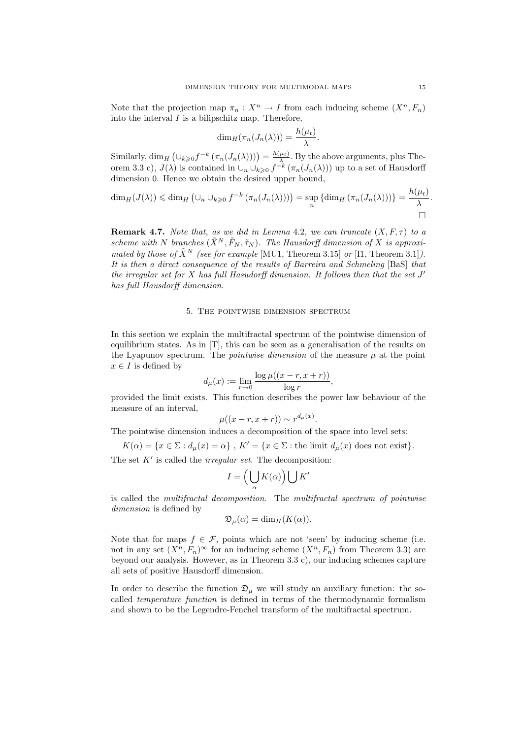Note that the projection map  $\pi_n : X^n \to I$  from each inducing scheme  $(X^n, F_n)$ into the interval  $I$  is a bilipschitz map. Therefore,

$$
\dim_H(\pi_n(J_n(\lambda))) = \frac{h(\mu_t)}{\lambda}.
$$

Similarly,  $\dim_H \left( \bigcup_{k \geq 0} f^{-k} \left( \pi_n(J_n(\lambda)) \right) \right) = \frac{h(\mu_t)}{\lambda}$ . By the above arguments, plus Theorem 3.3 c),  $J(\lambda)$  is contained in  $\cup_n \cup_{k \geq 0} f^{-k}(\pi_n(J_n(\lambda)))$  up to a set of Hausdorff dimension 0. Hence we obtain the desired upper bound,

$$
\dim_H(J(\lambda)) \leq \dim_H \left( \cup_n \cup_{k \geq 0} f^{-k} \left( \pi_n(J_n(\lambda)) \right) \right) = \sup_n \left\{ \dim_H \left( \pi_n(J_n(\lambda)) \right) \right\} = \frac{h(\mu_t)}{\lambda}.
$$

**Remark 4.7.** Note that, as we did in Lemma 4.2, we can truncate  $(X, F, \tau)$  to a scheme with N branches  $(\tilde{X}^N, \tilde{F}_N, \tilde{\tau}_N)$ . The Hausdorff dimension of X is approximated by those of  $\tilde{X}^N$  (see for example [MU1, Theorem 3.15] or [I1, Theorem 3.1]). It is then a direct consequence of the results of Barreira and Schmeling [BaS] that the irregular set for  $X$  has full Hasudorff dimension. It follows then that the set  $J'$ has full Hausdorff dimension.

### 5. The pointwise dimension spectrum

In this section we explain the multifractal spectrum of the pointwise dimension of equilibrium states. As in [T], this can be seen as a generalisation of the results on the Lyapunov spectrum. The *pointwise dimension* of the measure  $\mu$  at the point  $x \in I$  is defined by

$$
d_{\mu}(x) := \lim_{r \to 0} \frac{\log \mu((x-r, x+r))}{\log r},
$$

provided the limit exists. This function describes the power law behaviour of the measure of an interval,

$$
\mu((x-r,x+r)) \sim r^{d_{\mu}(x)}.
$$

The pointwise dimension induces a decomposition of the space into level sets:

 $K(\alpha) = \{x \in \Sigma : d_{\mu}(x) = \alpha\}, K' = \{x \in \Sigma : \text{the limit } d_{\mu}(x) \text{ does not exist}\}.$ 

The set  $K'$  is called the *irregular set*. The decomposition:

$$
I=\Big(\bigcup_{\alpha}K(\alpha)\Big)\bigcup K'
$$

is called the multifractal decomposition. The multifractal spectrum of pointwise dimension is defined by

$$
\mathfrak{D}_{\mu}(\alpha) = \dim_{H}(K(\alpha)).
$$

Note that for maps  $f \in \mathcal{F}$ , points which are not 'seen' by inducing scheme (i.e. not in any set  $(X^n, F_n)^\infty$  for an inducing scheme  $(X^n, F_n)$  from Theorem 3.3) are beyond our analysis. However, as in Theorem 3.3 c), our inducing schemes capture all sets of positive Hausdorff dimension.

In order to describe the function  $\mathfrak{D}_{\mu}$  we will study an auxiliary function: the socalled temperature function is defined in terms of the thermodynamic formalism and shown to be the Legendre-Fenchel transform of the multifractal spectrum.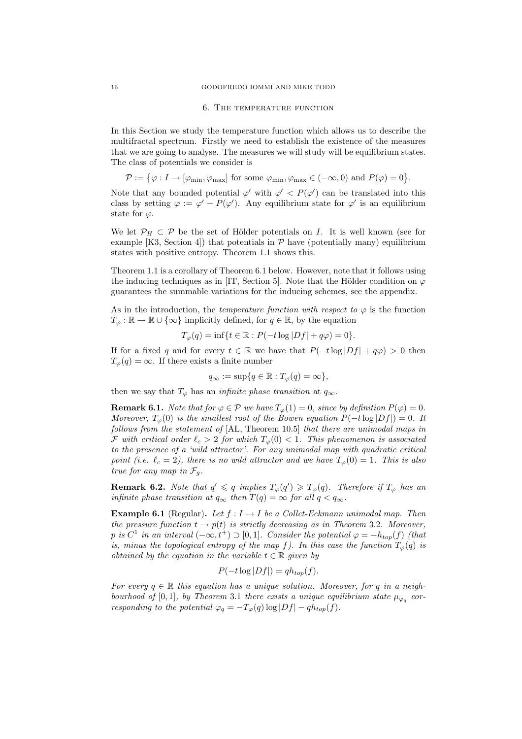#### 6. The temperature function

In this Section we study the temperature function which allows us to describe the multifractal spectrum. Firstly we need to establish the existence of the measures that we are going to analyse. The measures we will study will be equilibrium states. The class of potentials we consider is

 $\mathcal{P} := \{ \varphi : I \to [\varphi_{\min}, \varphi_{\max}] \text{ for some } \varphi_{\min}, \varphi_{\max} \in (-\infty, 0) \text{ and } P(\varphi) = 0 \}.$ 

Note that any bounded potential  $\varphi'$  with  $\varphi' < P(\varphi')$  can be translated into this class by setting  $\varphi := \varphi' - P(\varphi')$ . Any equilibrium state for  $\varphi'$  is an equilibrium state for  $\varphi$ .

We let  $\mathcal{P}_H \subset \mathcal{P}$  be the set of Hölder potentials on I. It is well known (see for example [K3, Section 4]) that potentials in  $P$  have (potentially many) equilibrium states with positive entropy. Theorem 1.1 shows this.

Theorem 1.1 is a corollary of Theorem 6.1 below. However, note that it follows using the inducing techniques as in [IT, Section 5]. Note that the Hölder condition on  $\varphi$ guarantees the summable variations for the inducing schemes, see the appendix.

As in the introduction, the *temperature function with respect to*  $\varphi$  is the function  $T_{\varphi} : \mathbb{R} \to \mathbb{R} \cup \{\infty\}$  implicitly defined, for  $q \in \mathbb{R}$ , by the equation

$$
T_{\varphi}(q) = \inf\{t \in \mathbb{R} : P(-t \log |Df| + q\varphi) = 0\}.
$$

If for a fixed q and for every  $t \in \mathbb{R}$  we have that  $P(-t \log |Df| + q\varphi) > 0$  then  $T_{\varphi}(q) = \infty$ . If there exists a finite number

$$
q_{\infty} := \sup\{q \in \mathbb{R} : T_{\varphi}(q) = \infty\},\
$$

then we say that  $T_{\varphi}$  has an *infinite phase transition* at  $q_{\infty}$ .

**Remark 6.1.** Note that for  $\varphi \in \mathcal{P}$  we have  $T_{\varphi}(1) = 0$ , since by definition  $P(\varphi) = 0$ . Moreover,  $T_{\alpha}(0)$  is the smallest root of the Bowen equation  $P(-t \log |Df|)=0$ . It follows from the statement of [AL, Theorem 10.5] that there are unimodal maps in F with critical order  $\ell_c > 2$  for which  $T_{\varphi}(0) < 1$ . This phenomenon is associated to the presence of a 'wild attractor'. For any unimodal map with quadratic critical point (i.e.  $\ell_c = 2$ ), there is no wild attractor and we have  $T_\varphi(0) = 1$ . This is also true for any map in  $\mathcal{F}_g$ .

**Remark 6.2.** Note that  $q' \leq q$  implies  $T_{\varphi}(q') \geq T_{\varphi}(q)$ . Therefore if  $T_{\varphi}$  has an infinite phase transition at  $q_{\infty}$  then  $T(q) = \infty$  for all  $q < q_{\infty}$ .

**Example 6.1** (Regular). Let  $f: I \rightarrow I$  be a Collet-Eckmann unimodal map. Then the pressure function  $t \to p(t)$  is strictly decreasing as in Theorem 3.2. Moreover, p is  $C^1$  in an interval  $(-\infty, t^+) \supset [0, 1]$ . Consider the potential  $\varphi = -h_{top}(f)$  (that is, minus the topological entropy of the map f). In this case the function  $T_{\varphi}(q)$  is obtained by the equation in the variable  $t \in \mathbb{R}$  given by

$$
P(-t \log |Df|) = qh_{top}(f).
$$

For every  $q \in \mathbb{R}$  this equation has a unique solution. Moreover, for q in a neighbourhood of [0, 1], by Theorem 3.1 there exists a unique equilibrium state  $\mu_{\varphi_q}$  corresponding to the potential  $\varphi_q = -T_{\varphi}(q) \log |Df| - qh_{top}(f)$ .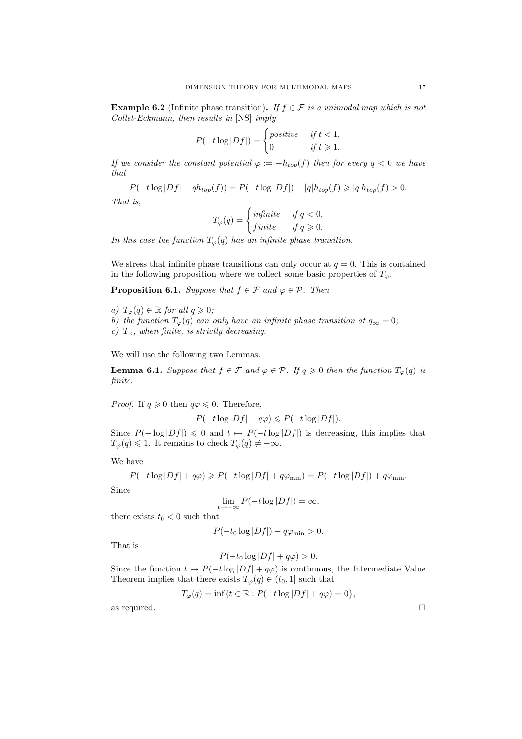**Example 6.2** (Infinite phase transition). If  $f \in \mathcal{F}$  is a unimodal map which is not Collet-Eckmann, then results in [NS] imply

$$
P(-t \log |Df|) = \begin{cases} positive & \text{if } t < 1, \\ 0 & \text{if } t \ge 1. \end{cases}
$$

If we consider the constant potential  $\varphi := -h_{top}(f)$  then for every  $q < 0$  we have that

$$
P(-t \log |Df| - qh_{top}(f)) = P(-t \log |Df|) + |q|h_{top}(f) \geq |q|h_{top}(f) > 0.
$$

That is,

$$
T_{\varphi}(q) = \begin{cases} \text{infinite} & \text{if } q < 0, \\ \text{finite} & \text{if } q \ge 0. \end{cases}
$$

In this case the function  $T_{\varphi}(q)$  has an infinite phase transition.

We stress that infinite phase transitions can only occur at  $q = 0$ . This is contained in the following proposition where we collect some basic properties of  $T_{\varphi}$ .

**Proposition 6.1.** Suppose that  $f \in \mathcal{F}$  and  $\varphi \in \mathcal{P}$ . Then

- a)  $T_{\varphi}(q) \in \mathbb{R}$  for all  $q \geqslant 0;$
- b) the function  $T_{\varphi}(q)$  can only have an infinite phase transition at  $q_{\infty} = 0$ ;

c)  $T_{\varphi}$ , when finite, is strictly decreasing.

We will use the following two Lemmas.

**Lemma 6.1.** Suppose that  $f \in \mathcal{F}$  and  $\varphi \in \mathcal{P}$ . If  $q \geq 0$  then the function  $T_{\varphi}(q)$  is finite.

*Proof.* If  $q \ge 0$  then  $q\varphi \le 0$ . Therefore,

$$
P(-t\log|Df|+q\varphi)\leqslant P(-t\log|Df|).
$$

Since  $P(-\log|Df|) \leq 0$  and  $t \mapsto P(-t \log|Df|)$  is decreasing, this implies that  $T_{\varphi}(q) \leq 1$ . It remains to check  $T_{\varphi}(q) \neq -\infty$ .

We have

$$
P(-t \log |Df| + q\varphi) \geqslant P(-t \log |Df| + q\varphi_{\min}) = P(-t \log |Df|) + q\varphi_{\min}.
$$

Since

$$
\lim_{t \to -\infty} P(-t \log |Df|) = \infty,
$$

there exists  $t_0 < 0$  such that

$$
P(-t_0 \log |Df|) - q\varphi_{\min} > 0.
$$

That is

$$
P(-t_0 \log |Df| + q\varphi) > 0.
$$

Since the function  $t \to P(-t \log |Df| + q\varphi)$  is continuous, the Intermediate Value Theorem implies that there exists  $T_{\varphi}(q) \in (t_0, 1]$  such that

$$
T_{\varphi}(q) = \inf\{t \in \mathbb{R} : P(-t \log |Df| + q\varphi) = 0\},\
$$

as required.  $\Box$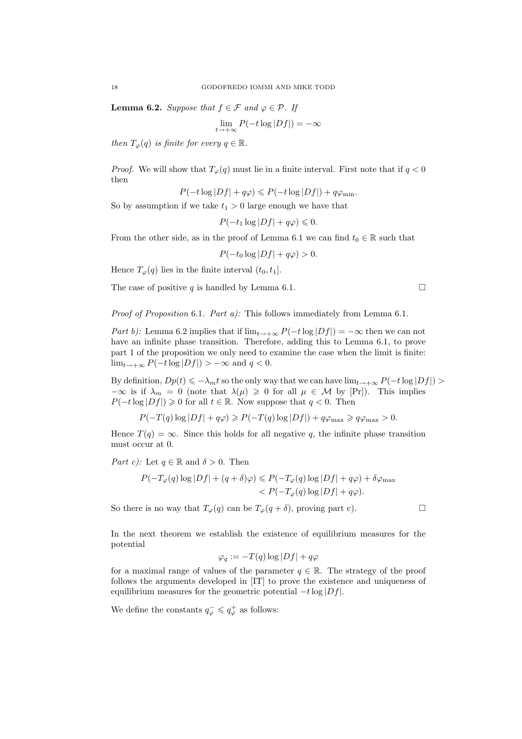**Lemma 6.2.** Suppose that  $f \in \mathcal{F}$  and  $\varphi \in \mathcal{P}$ . If

$$
\lim_{t \to +\infty} P(-t \log |Df|) = -\infty
$$

then  $T_{\varphi}(q)$  is finite for every  $q \in \mathbb{R}$ .

*Proof.* We will show that  $T_{\varphi}(q)$  must lie in a finite interval. First note that if  $q < 0$ then

$$
P(-t\log|Df|+q\varphi)\leq P(-t\log|Df|)+q\varphi_{\min}.
$$

So by assumption if we take  $t_1 > 0$  large enough we have that

$$
P(-t_1 \log |Df| + q\varphi) \leq 0.
$$

From the other side, as in the proof of Lemma 6.1 we can find  $t_0 \in \mathbb{R}$  such that

 $P(-t_0 \log |Df| + q\varphi) > 0.$ 

Hence  $T_{\varphi}(q)$  lies in the finite interval  $(t_0, t_1]$ .

The case of positive q is handled by Lemma 6.1.  $\Box$ 

Proof of Proposition 6.1. Part a): This follows immediately from Lemma 6.1.

Part b): Lemma 6.2 implies that if  $\lim_{t\to+\infty} P(-t\log|Df|) = -\infty$  then we can not have an infinite phase transition. Therefore, adding this to Lemma 6.1, to prove part 1 of the proposition we only need to examine the case when the limit is finite:  $\lim_{t\to+\infty} P(-t\log|Df|) > -\infty$  and  $q < 0$ .

By definition,  $Dp(t) \leq \lambda_m t$  so the only way that we can have  $\lim_{t\to+\infty} P(-t\log|Df|)$  $-\infty$  is if  $\lambda_m = 0$  (note that  $\lambda(\mu) \geq 0$  for all  $\mu \in \mathcal{M}$  by [Pr]). This implies  $P(-t \log |Df|) \geq 0$  for all  $t \in \mathbb{R}$ . Now suppose that  $q < 0$ . Then

 $P(-T(q) \log |Df| + q\varphi) \geqslant P(-T(q) \log |Df|) + q\varphi_{\text{max}} \geqslant q\varphi_{\text{max}} > 0.$ 

Hence  $T(q) = \infty$ . Since this holds for all negative q, the infinite phase transition must occur at 0.

*Part c)*: Let  $q \in \mathbb{R}$  and  $\delta > 0$ . Then

$$
P(-T_{\varphi}(q) \log |Df| + (q + \delta)\varphi) \leq P(-T_{\varphi}(q) \log |Df| + q\varphi) + \delta\varphi_{\max}
$$
  

$$
< P(-T_{\varphi}(q) \log |Df| + q\varphi).
$$

So there is no way that  $T_{\varphi}(q)$  can be  $T_{\varphi}(q + \delta)$ , proving part c).

In the next theorem we establish the existence of equilibrium measures for the potential

$$
\varphi_q := -T(q) \log |Df| + q\varphi
$$

for a maximal range of values of the parameter  $q \in \mathbb{R}$ . The strategy of the proof follows the arguments developed in [IT] to prove the existence and uniqueness of equilibrium measures for the geometric potential  $-t \log |Df|$ .

We define the constants  $q_{\varphi}^- \leqslant q_{\varphi}^+$  as follows: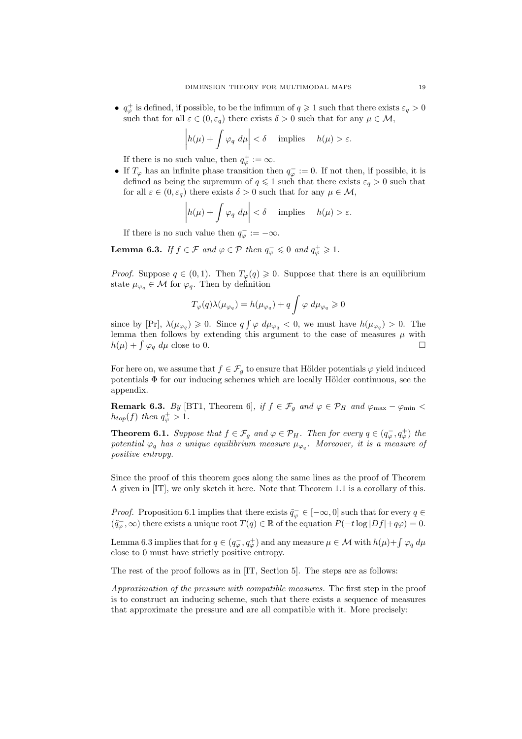$\bullet\; q_{\varphi}^+$  is defined, if possible, to be the infimum of  $q\geqslant 1$  such that there exists  $\varepsilon_q>0$ such that for all  $\varepsilon \in (0, \varepsilon_q)$  there exists  $\delta > 0$  such that for any  $\mu \in \mathcal{M}$ ,

$$
\left| h(\mu) + \int \varphi_q \ d\mu \right| < \delta \quad \text{ implies} \quad h(\mu) > \varepsilon.
$$

If there is no such value, then  $q_{\varphi}^{+} := \infty$ .

• If  $T_{\varphi}$  has an infinite phase transition then  $q_{\varphi}^- := 0$ . If not then, if possible, it is defined as being the supremum of  $q \leq 1$  such that there exists  $\varepsilon_q > 0$  such that for all  $\varepsilon \in (0, \varepsilon_q)$  there exists  $\delta > 0$  such that for any  $\mu \in \mathcal{M}$ ,

$$
\left| h(\mu) + \int \varphi_q \ d\mu \right| < \delta \quad \text{ implies} \quad h(\mu) > \varepsilon.
$$

If there is no such value then  $q_{\varphi}^- := -\infty$ .

**Lemma 6.3.** If  $f \in \mathcal{F}$  and  $\varphi \in \mathcal{P}$  then  $q_{\varphi}^- \leq 0$  and  $q_{\varphi}^+ \geq 1$ .

*Proof.* Suppose  $q \in (0, 1)$ . Then  $T_{\varphi}(q) \geq 0$ . Suppose that there is an equilibrium state  $\mu_{\varphi_q} \in \mathcal{M}$  for  $\varphi_q$ . Then by definition

$$
T_{\varphi}(q)\lambda(\mu_{\varphi_q}) = h(\mu_{\varphi_q}) + q \int \varphi \, d\mu_{\varphi_q} \geq 0
$$

since by [Pr],  $\lambda(\mu_{\varphi_q}) \geq 0$ . Since  $q \int \varphi \, d\mu_{\varphi_q} < 0$ , we must have  $h(\mu_{\varphi_q}) > 0$ . The lemma then follows by extending this argument to the case of measures  $\mu$  with  $h(\mu) + \int \varphi_q \, d\mu$  close to 0.

For here on, we assume that  $f \in \mathcal{F}_g$  to ensure that Hölder potentials  $\varphi$  yield induced potentials  $\Phi$  for our inducing schemes which are locally Hölder continuous, see the appendix.

**Remark 6.3.** By [BT1, Theorem 6], if  $f \in \mathcal{F}_g$  and  $\varphi \in \mathcal{P}_H$  and  $\varphi_{\text{max}} - \varphi_{\text{min}} <$  $h_{top}(f)$  then  $q_{\varphi}^+ > 1$ .

**Theorem 6.1.** Suppose that  $f \in \mathcal{F}_g$  and  $\varphi \in \mathcal{P}_H$ . Then for every  $q \in (q_{\varphi}^-, q_{\varphi}^+)$  the potential  $\varphi_q$  has a unique equilibrium measure  $\mu_{\varphi_q}$ . Moreover, it is a measure of positive entropy.

Since the proof of this theorem goes along the same lines as the proof of Theorem A given in [IT], we only sketch it here. Note that Theorem 1.1 is a corollary of this.

*Proof.* Proposition 6.1 implies that there exists  $\tilde{q}^- \in [-\infty, 0]$  such that for every  $q \in$  $(\tilde{q}_{\varphi}^-, \infty)$  there exists a unique root  $T(q) \in \mathbb{R}$  of the equation  $P(-t \log |Df| + q\varphi) = 0$ .

Lemma 6.3 implies that for  $q \in (q_\varphi^-, q_\varphi^+)$  and any measure  $\mu \in \mathcal{M}$  with  $h(\mu) + \int \varphi_q d\mu$ close to 0 must have strictly positive entropy.

The rest of the proof follows as in [IT, Section 5]. The steps are as follows:

Approximation of the pressure with compatible measures. The first step in the proof is to construct an inducing scheme, such that there exists a sequence of measures that approximate the pressure and are all compatible with it. More precisely: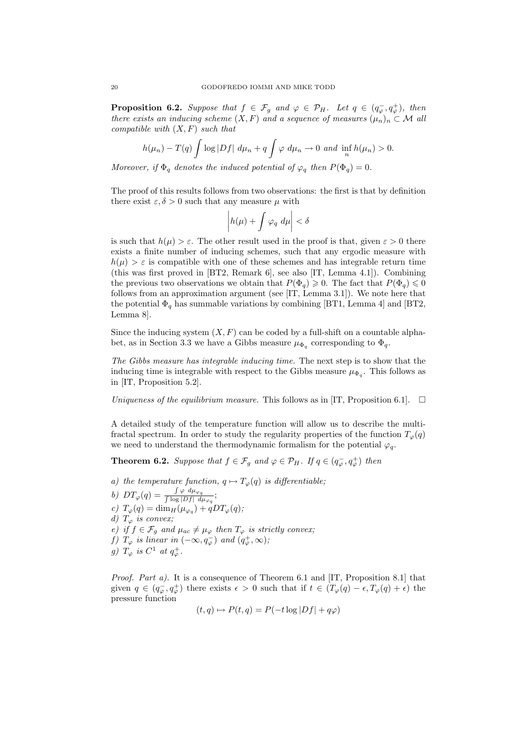**Proposition 6.2.** Suppose that  $f \in \mathcal{F}_g$  and  $\varphi \in \mathcal{P}_H$ . Let  $q \in (q_{\varphi}^-, q_{\varphi}^+)$ , then there exists an inducing scheme  $(X, F)$  and a sequence of measures  $(\mu_n)_n \subset \mathcal{M}$  all compatible with  $(X, F)$  such that

$$
h(\mu_n)-T(q)\int \log|Df| \ d\mu_n+q\int \varphi \ d\mu_n\to 0 \ \text{and} \ \inf_n h(\mu_n)>0.
$$

Moreover, if  $\Phi_q$  denotes the induced potential of  $\varphi_q$  then  $P(\Phi_q)=0$ .

The proof of this results follows from two observations: the first is that by definition there exist  $\varepsilon, \delta > 0$  such that any measure  $\mu$  with

$$
\left|h(\mu) + \int \varphi_q \, d\mu\right| < \delta
$$

is such that  $h(\mu) > \varepsilon$ . The other result used in the proof is that, given  $\varepsilon > 0$  there exists a finite number of inducing schemes, such that any ergodic measure with  $h(\mu) > \varepsilon$  is compatible with one of these schemes and has integrable return time (this was first proved in [BT2, Remark 6], see also [IT, Lemma 4.1]). Combining the previous two observations we obtain that  $P(\Phi_q) \geq 0$ . The fact that  $P(\Phi_q) \leq 0$ follows from an approximation argument (see [IT, Lemma 3.1]). We note here that the potential  $\Phi_q$  has summable variations by combining [BT1, Lemma 4] and [BT2, Lemma 8].

Since the inducing system  $(X, F)$  can be coded by a full-shift on a countable alphabet, as in Section 3.3 we have a Gibbs measure  $\mu_{\Phi_q}$  corresponding to  $\Phi_q$ .

The Gibbs measure has integrable inducing time. The next step is to show that the inducing time is integrable with respect to the Gibbs measure  $\mu_{\Phi_q}$ . This follows as in [IT, Proposition 5.2].

Uniqueness of the equilibrium measure. This follows as in [IT, Proposition 6.1].  $\Box$ 

A detailed study of the temperature function will allow us to describe the multifractal spectrum. In order to study the regularity properties of the function  $T_{\varphi}(q)$ we need to understand the thermodynamic formalism for the potential  $\varphi_q$ .

**Theorem 6.2.** Suppose that  $f \in \mathcal{F}_g$  and  $\varphi \in \mathcal{P}_H$ . If  $q \in (q_{\varphi}^-, q_{\varphi}^+)$  then

- a) the temperature function,  $q \mapsto T_{\varphi}(q)$  is differentiable;
- b)  $DT_{\varphi}(q) = \frac{\int \varphi \ d\mu_{\varphi_q}}{\int \log |Df| \ d\mu_{\varphi_q}};$ c)  $T_{\varphi}(q) = \dim_H(\mu_{\varphi_q}) + qDT_{\varphi}(q);$ d)  $T_{\varphi}$  is convex; e) if  $f \in \mathcal{F}_g$  and  $\mu_{ac} \neq \mu_{\varphi}$  then  $T_{\varphi}$  is strictly convex; f)  $T_{\varphi}$  is linear in  $(-\infty, q_{\varphi}^-)$  and  $(q_{\varphi}^+, \infty)$ ; g)  $T_{\varphi}$  is  $C^1$  at  $q_{\varphi}^+$ .

*Proof.* Part a). It is a consequence of Theorem 6.1 and  $[IT,$  Proposition 8.1 that given  $q \in (q_{\varphi}^-, q_{\varphi}^+)$  there exists  $\epsilon > 0$  such that if  $t \in (T_{\varphi}(q) - \epsilon, T_{\varphi}(q) + \epsilon)$  the pressure function

$$
(t,q) \mapsto P(t,q) = P(-t \log |Df| + q\varphi)
$$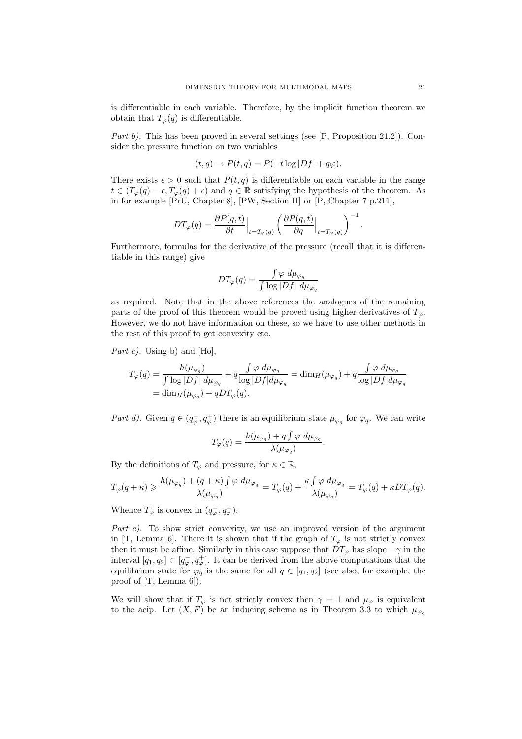is differentiable in each variable. Therefore, by the implicit function theorem we obtain that  $T_{\varphi}(q)$  is differentiable.

Part b). This has been proved in several settings (see [P, Proposition 21.2]). Consider the pressure function on two variables

$$
(t,q) \to P(t,q) = P(-t \log |Df| + q\varphi).
$$

There exists  $\epsilon > 0$  such that  $P(t, q)$  is differentiable on each variable in the range  $t \in (T_{\varphi}(q) - \epsilon, T_{\varphi}(q) + \epsilon)$  and  $q \in \mathbb{R}$  satisfying the hypothesis of the theorem. As in for example [PrU, Chapter 8], [PW, Section II] or [P, Chapter 7 p.211],

$$
DT_{\varphi}(q) = \frac{\partial P(q,t)}{\partial t}\Big|_{t=T_{\varphi}(q)} \left(\frac{\partial P(q,t)}{\partial q}\Big|_{t=T_{\varphi}(q)}\right)^{-1}
$$

Furthermore, formulas for the derivative of the pressure (recall that it is differentiable in this range) give

$$
DT_{\varphi}(q) = \frac{\int \varphi \ d\mu_{\varphi_q}}{\int \log |Df| \ d\mu_{\varphi_q}}
$$

as required. Note that in the above references the analogues of the remaining parts of the proof of this theorem would be proved using higher derivatives of  $T_{\varphi}$ . However, we do not have information on these, so we have to use other methods in the rest of this proof to get convexity etc.

*Part c)*. Using b) and  $[Ho]$ ,

$$
T_{\varphi}(q) = \frac{h(\mu_{\varphi_q})}{\int \log |Df| d\mu_{\varphi_q}} + q \frac{\int \varphi d\mu_{\varphi_q}}{\log |Df| d\mu_{\varphi_q}} = \dim_H(\mu_{\varphi_q}) + q \frac{\int \varphi d\mu_{\varphi_q}}{\log |Df| d\mu_{\varphi_q}}
$$
  
= 
$$
\dim_H(\mu_{\varphi_q}) + q DT_{\varphi}(q).
$$

Part d). Given  $q \in (q_{\varphi}^-, q_{\varphi}^+)$  there is an equilibrium state  $\mu_{\varphi_q}$  for  $\varphi_q$ . We can write

$$
T_{\varphi}(q) = \frac{h(\mu_{\varphi_q}) + q \int \varphi \ d\mu_{\varphi_q}}{\lambda(\mu_{\varphi_q})}.
$$

By the definitions of  $T_{\varphi}$  and pressure, for  $\kappa \in \mathbb{R}$ ,

$$
T_\varphi(q+\kappa) \geqslant \frac{h(\mu_{\varphi_q})+(q+\kappa)\int \varphi \ d\mu_{\varphi_q}}{\lambda(\mu_{\varphi_q})}=T_\varphi(q)+\frac{\kappa\int \varphi \ d\mu_{\varphi_q}}{\lambda(\mu_{\varphi_q})}=T_\varphi(q)+\kappa DT_\varphi(q).
$$

Whence  $T_{\varphi}$  is convex in  $(q_{\varphi}^-, q_{\varphi}^+).$ 

Part e). To show strict convexity, we use an improved version of the argument in [T, Lemma 6]. There it is shown that if the graph of  $T_{\varphi}$  is not strictly convex then it must be affine. Similarly in this case suppose that  $DT_{\varphi}$  has slope  $-\gamma$  in the interval  $[q_1, q_2] \subset [q_\varphi^-, q_\varphi^+]$ . It can be derived from the above computations that the equilibrium state for  $\varphi_q$  is the same for all  $q \in [q_1, q_2]$  (see also, for example, the proof of [T, Lemma 6]).

We will show that if  $T_{\varphi}$  is not strictly convex then  $\gamma = 1$  and  $\mu_{\varphi}$  is equivalent to the acip. Let  $(X, F)$  be an inducing scheme as in Theorem 3.3 to which  $\mu_{\varphi_q}$ 

.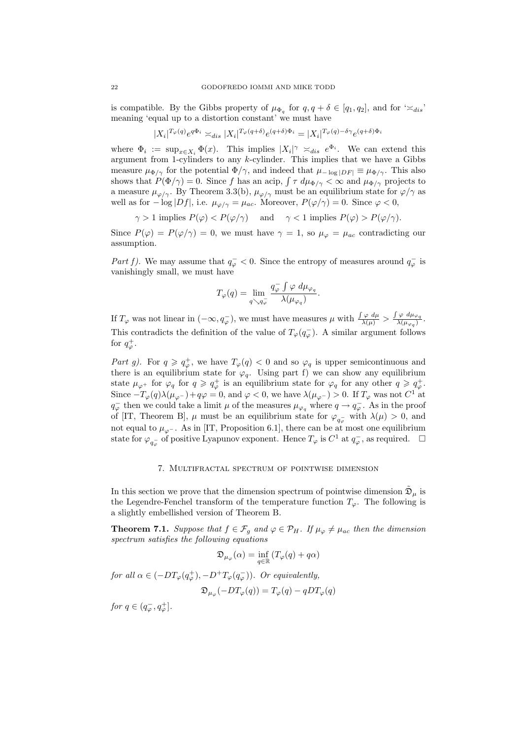is compatible. By the Gibbs property of  $\mu_{\Phi_q}$  for  $q, q + \delta \in [q_1, q_2]$ , and for  $\approx_{dis}$ meaning 'equal up to a distortion constant' we must have

$$
|X_i|^{T_{\varphi}(q)}e^{q\Phi_i}\asymp_{dis}|X_i|^{T_{\varphi}(q+\delta)}e^{(q+\delta)\Phi_i}=|X_i|^{T_{\varphi}(q)-\delta\gamma}e^{(q+\delta)\Phi_i}
$$

where  $\Phi_i := \sup_{x \in X_i} \Phi(x)$ . This implies  $|X_i|^\gamma \asymp_{dis} e^{\Phi_i}$ . We can extend this argument from 1-cylinders to any  $k$ -cylinder. This implies that we have a Gibbs measure  $\mu_{\Phi/\gamma}$  for the potential  $\Phi/\gamma$ , and indeed that  $\mu_{-\log|DF|} \equiv \mu_{\Phi/\gamma}$ . This also shows that  $P(\Phi/\gamma) = 0$ . Since f has an acip,  $\int \tau \, d\mu_{\Phi/\gamma} < \infty$  and  $\mu_{\Phi/\gamma}$  projects to a measure  $\mu_{\varphi/\gamma}$ . By Theorem 3.3(b),  $\mu_{\varphi/\gamma}$  must be an equilibrium state for  $\varphi/\gamma$  as well as for  $-\log|Df|$ , i.e.  $\mu_{\varphi/\gamma} = \mu_{ac}$ . Moreover,  $P(\varphi/\gamma) = 0$ . Since  $\varphi < 0$ ,

$$
\gamma > 1
$$
 implies  $P(\varphi) < P(\varphi/\gamma)$  and  $\gamma < 1$  implies  $P(\varphi) > P(\varphi/\gamma)$ .

Since  $P(\varphi) = P(\varphi/\gamma) = 0$ , we must have  $\gamma = 1$ , so  $\mu_{\varphi} = \mu_{ac}$  contradicting our assumption.

Part f). We may assume that  $q_{\varphi}^- < 0$ . Since the entropy of measures around  $q_{\varphi}^-$  is vanishingly small, we must have

$$
T_{\varphi}(q) = \lim_{q \searrow q_{\varphi}^-} \frac{q_{\varphi}^- \int \varphi \ d\mu_{\varphi_q}}{\lambda(\mu_{\varphi_q})}.
$$

If  $T_{\varphi}$  was not linear in  $(-\infty, q_{\varphi}^-)$ , we must have measures  $\mu$  with  $\frac{\int \varphi d\mu}{\lambda(\mu)} > \frac{\int \varphi d\mu_{\varphi q}}{\lambda(\mu_{\varphi q})}$ . This contradicts the definition of the value of  $T_{\varphi}(q_{\varphi}^{-})$ . A similar argument follows for  $q^+_{\varphi}$ .

Part g). For  $q \geqslant q^+_{\varphi}$ , we have  $T_{\varphi}(q) < 0$  and so  $\varphi_q$  is upper semicontinuous and there is an equilibrium state for  $\varphi_q$ . Using part f) we can show any equilibrium state  $\mu_{\varphi^+}$  for  $\varphi_q$  for  $q \geqslant q_{\varphi}^+$  is an equilibrium state for  $\varphi_q$  for any other  $q \geqslant q_{\varphi}^+$ . Since  $-T_{\varphi}(q)\lambda(\mu_{\varphi^-})+q\varphi=0$ , and  $\varphi<0$ , we have  $\lambda(\mu_{\varphi^-})>0$ . If  $T_{\varphi}$  was not  $C^1$  at  $q_{\varphi}^-$  then we could take a limit  $\mu$  of the measures  $\mu_{\varphi_q}$  where  $q \to q_{\varphi}^-$ . As in the proof of [IT, Theorem B],  $\mu$  must be an equilibrium state for  $\varphi_{q_{\varphi}^-}$  with  $\lambda(\mu) > 0$ , and not equal to  $\mu_{\varphi}$ -. As in [IT, Proposition 6.1], there can be at most one equilibrium state for  $\varphi_{q_{\varphi}}$  of positive Lyapunov exponent. Hence  $T_{\varphi}$  is  $C^1$  at  $q_{\varphi}^-$ , as required.  $\Box$ 

# 7. Multifractal spectrum of pointwise dimension

In this section we prove that the dimension spectrum of pointwise dimension  $\mathfrak{D}_{\mu}$  is the Legendre-Fenchel transform of the temperature function  $T_{\varphi}$ . The following is a slightly embellished version of Theorem B.

**Theorem 7.1.** Suppose that  $f \in \mathcal{F}_g$  and  $\varphi \in \mathcal{P}_H$ . If  $\mu_{\varphi} \neq \mu_{ac}$  then the dimension spectrum satisfies the following equations

$$
\mathfrak{D}_{\mu_{\varphi}}(\alpha)=\inf_{q\in\mathbb{R}}\left(T_{\varphi}(q)+q\alpha\right)
$$

for all  $\alpha \in (-DT_{\varphi}(q_{\varphi}^+), -D^+T_{\varphi}(q_{\varphi}^-))$ . Or equivalently,

$$
\mathfrak{D}_{\mu_{\varphi}}(-DT_{\varphi}(q)) = T_{\varphi}(q) - qDT_{\varphi}(q)
$$

for  $q \in (q_{\varphi}^-, q_{\varphi}^+]$ .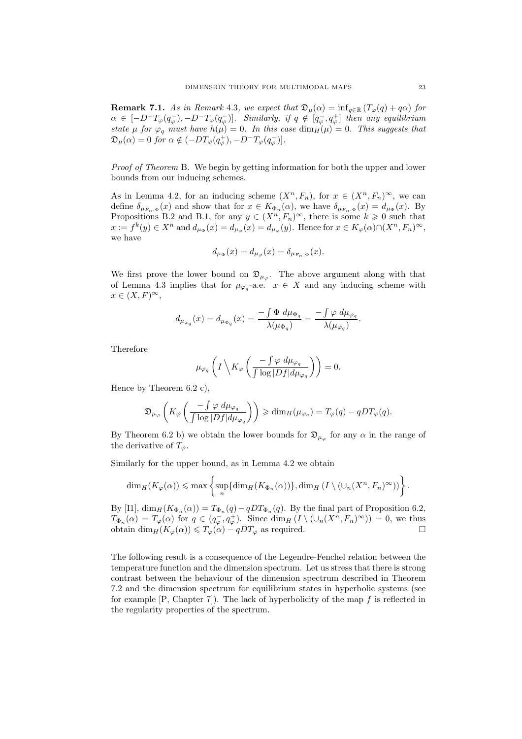**Remark 7.1.** As in Remark 4.3, we expect that  $\mathfrak{D}_{\mu}(\alpha) = \inf_{q \in \mathbb{R}} (T_{\varphi}(q) + q\alpha)$  for  $\alpha \in [-D^+T_\varphi(q_\varphi^-), -D^-T_\varphi(q_\varphi^-)].$  Similarly, if  $q \notin [q_\varphi^-, q_\varphi^+]$  then any equilibrium state  $\mu$  for  $\varphi_q$  must have  $h(\mu)=0$ . In this case  $\dim_H(\mu)=0$ . This suggests that  $\mathfrak{D}_{\mu}(\alpha) = 0$  for  $\alpha \notin (-DT_{\varphi}(q_{\varphi}^{+}), -D^{-}T_{\varphi}(q_{\varphi}^{-})]$ .

Proof of Theorem B. We begin by getting information for both the upper and lower bounds from our inducing schemes.

As in Lemma 4.2, for an inducing scheme  $(X^n, F_n)$ , for  $x \in (X^n, F_n)^\infty$ , we can define  $\delta_{\mu_{F_n,\Phi}}(x)$  and show that for  $x \in K_{\Phi_n}(\alpha)$ , we have  $\delta_{\mu_{F_n,\Phi}}(x) = d_{\mu_\Phi}(x)$ . By Propositions B.2 and B.1, for any  $y \in (X^n, F_n)^\infty$ , there is some  $k \geq 0$  such that  $x := f^k(y) \in X^n$  and  $d_{\mu_\Phi}(x) = d_{\mu_\varphi}(x) = d_{\mu_\varphi}(y)$ . Hence for  $x \in K_\varphi(\alpha) \cap (X^n, F_n)^\infty$ , we have

$$
d_{\mu_{\Phi}}(x) = d_{\mu_{\varphi}}(x) = \delta_{\mu_{F_n,\Phi}}(x).
$$

We first prove the lower bound on  $\mathfrak{D}_{\mu_{\varphi}}$ . The above argument along with that of Lemma 4.3 implies that for  $\mu_{\varphi_q}$ -a.e.  $x \in X$  and any inducing scheme with  $x \in (X, F)^\infty$ ,

$$
d_{\mu_{\varphi_q}}(x) = d_{\mu_{\Phi_q}}(x) = \frac{-\int \Phi \ d\mu_{\Phi_q}}{\lambda(\mu_{\Phi_q})} = \frac{-\int \varphi \ d\mu_{\varphi_q}}{\lambda(\mu_{\varphi_q})}.
$$

Therefore

$$
\mu_{\varphi_q}\left(I\left\backslash K_{\varphi}\left(\frac{-\int \varphi \ d\mu_{\varphi_q}}{\int \log |Df| d\mu_{\varphi_q}}\right)\right)=0.
$$

Hence by Theorem 6.2 c),

$$
\mathfrak{D}_{\mu_{\varphi}}\left(K_{\varphi}\left(\frac{-\int \varphi \ d\mu_{\varphi_q}}{\int \log |Df| d\mu_{\varphi_q}}\right)\right) \geq \dim_H(\mu_{\varphi_q}) = T_{\varphi}(q) - qDT_{\varphi}(q).
$$

By Theorem 6.2 b) we obtain the lower bounds for  $\mathfrak{D}_{\mu_{\varphi}}$  for any  $\alpha$  in the range of the derivative of  $T_{\varphi}$ .

Similarly for the upper bound, as in Lemma 4.2 we obtain

$$
\dim_H(K_{\varphi}(\alpha)) \leqslant \max \left\{ \sup_n \{ \dim_H(K_{\Phi_n}(\alpha)) \}, \dim_H (I \setminus (\cup_n (X^n, F_n)^{\infty})) \right\}.
$$

By [I1],  $\dim_H(K_{\Phi_n}(\alpha)) = T_{\Phi_n}(q) - qDT_{\Phi_n}(q)$ . By the final part of Proposition 6.2,  $T_{\Phi_n}(\alpha) = T_{\varphi}(\alpha)$  for  $q \in (q_{\varphi}^-, q_{\varphi}^+)$ . Since  $\dim_H (I \setminus (\cup_n (X^n, F_n)^\infty)) = 0$ , we thus obtain  $\dim_H(K_\varphi(\alpha)) \leq T_\varphi(\alpha) - qDT_\varphi$  as required.

The following result is a consequence of the Legendre-Fenchel relation between the temperature function and the dimension spectrum. Let us stress that there is strong contrast between the behaviour of the dimension spectrum described in Theorem 7.2 and the dimension spectrum for equilibrium states in hyperbolic systems (see for example  $[P, Chapter 7]$ . The lack of hyperbolicity of the map  $f$  is reflected in the regularity properties of the spectrum.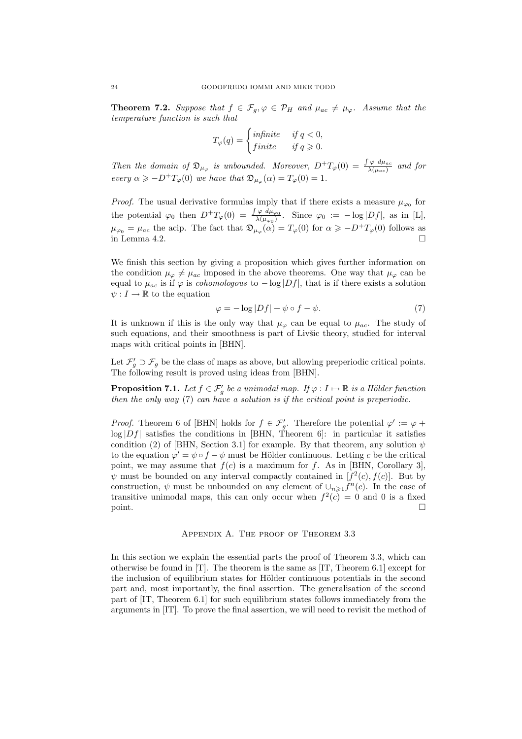**Theorem 7.2.** Suppose that  $f \in \mathcal{F}_g$ ,  $\varphi \in \mathcal{P}_H$  and  $\mu_{ac} \neq \mu_{\varphi}$ . Assume that the temperature function is such that

$$
T_{\varphi}(q) = \begin{cases} \text{infinite} & \text{if } q < 0, \\ \text{finite} & \text{if } q \geqslant 0. \end{cases}
$$

Then the domain of  $\mathfrak{D}_{\mu_{\varphi}}$  is unbounded. Moreover,  $D^+T_{\varphi}(0) = \frac{\int \varphi \, d\mu_{ac}}{\lambda(\mu_{ac})}$  and for every  $\alpha \geqslant -D^{+}T_{\varphi}(0)$  we have that  $\mathfrak{D}_{\mu_{\varphi}}(\alpha) = T_{\varphi}(0) = 1$ .

*Proof.* The usual derivative formulas imply that if there exists a measure  $\mu_{\varphi_0}$  for the potential  $\varphi_0$  then  $D^+T_{\varphi}(0) = \frac{\int \varphi \ d\mu_{\varphi_0}}{\lambda(\mu_{\varphi_0})}$ . Since  $\varphi_0 := -\log |Df|$ , as in [L],  $\mu_{\varphi_0} = \mu_{ac}$  the acip. The fact that  $\mathfrak{D}_{\mu_\varphi}(\alpha) = T_\varphi(0)$  for  $\alpha \geq -D^+T_\varphi(0)$  follows as in Lemma 4.2.  $\Box$ 

We finish this section by giving a proposition which gives further information on the condition  $\mu_{\varphi} \neq \mu_{ac}$  imposed in the above theorems. One way that  $\mu_{\varphi}$  can be equal to  $\mu_{ac}$  is if  $\varphi$  is *cohomologous* to  $-\log|Df|$ , that is if there exists a solution  $\psi: I \to \mathbb{R}$  to the equation

$$
\varphi = -\log|Df| + \psi \circ f - \psi. \tag{7}
$$

It is unknown if this is the only way that  $\mu_{\varphi}$  can be equal to  $\mu_{ac}$ . The study of such equations, and their smoothness is part of Livšic theory, studied for interval maps with critical points in [BHN].

Let  $\mathcal{F}'_g \supset \mathcal{F}_g$  be the class of maps as above, but allowing preperiodic critical points. The following result is proved using ideas from [BHN].

**Proposition 7.1.** Let  $f \in \mathcal{F}'_g$  be a unimodal map. If  $\varphi: I \mapsto \mathbb{R}$  is a Hölder function then the only way  $(7)$  can have a solution is if the critical point is preperiodic.

*Proof.* Theorem 6 of [BHN] holds for  $f \in \mathcal{F}'_g$ . Therefore the potential  $\varphi' := \varphi +$  $log|Df|$  satisfies the conditions in [BHN, Theorem 6]: in particular it satisfies condition (2) of [BHN, Section 3.1] for example. By that theorem, any solution  $\psi$ to the equation  $\varphi' = \psi \circ f - \psi$  must be Hölder continuous. Letting c be the critical point, we may assume that  $f(c)$  is a maximum for f. As in [BHN, Corollary 3],  $\psi$  must be bounded on any interval compactly contained in  $[f^2(c), f(c)]$ . But by construction,  $\psi$  must be unbounded on any element of  $\cup_{n\geq 1} f^n(c)$ . In the case of transitive unimodal maps, this can only occur when  $f^2(c) = 0$  and 0 is a fixed  $\Box$  point.

# Appendix A. The proof of Theorem 3.3

In this section we explain the essential parts the proof of Theorem 3.3, which can otherwise be found in  $[T]$ . The theorem is the same as  $[IT, Theorem 6.1]$  except for the inclusion of equilibrium states for Hölder continuous potentials in the second part and, most importantly, the final assertion. The generalisation of the second part of [IT, Theorem 6.1] for such equilibrium states follows immediately from the arguments in [IT]. To prove the final assertion, we will need to revisit the method of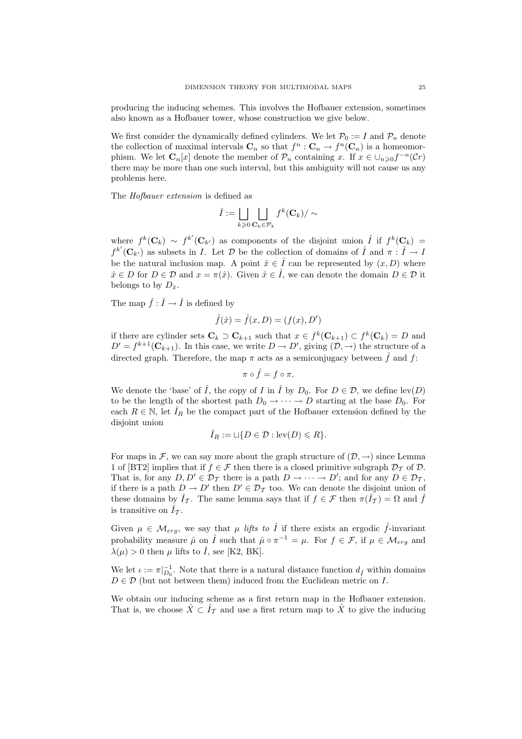producing the inducing schemes. This involves the Hofbauer extension, sometimes also known as a Hofbauer tower, whose construction we give below.

We first consider the dynamically defined cylinders. We let  $\mathcal{P}_0 := I$  and  $\mathcal{P}_n$  denote the collection of maximal intervals  $\mathbf{C}_n$  so that  $f^n : \mathbf{C}_n \to f^n(\mathbf{C}_n)$  is a homeomorphism. We let  $C_n[x]$  denote the member of  $\mathcal{P}_n$  containing x. If  $x \in \bigcup_{n \geq 0} f^{-n}(\mathcal{C}r)$ there may be more than one such interval, but this ambiguity will not cause us any problems here.

The Hofbauer extension is defined as

$$
\hat{I}:=\bigsqcup_{k\geqslant 0}\bigsqcup_{\mathbf{C}_k\in\mathcal{P}_k}f^k(\mathbf{C}_k)/\sim
$$

where  $f^k(\mathbf{C}_k) \sim f^{k'}(\mathbf{C}_{k'})$  as components of the disjoint union  $\hat{I}$  if  $f^k(\mathbf{C}_k) =$  $f^{k'}(\mathbf{C}_{k'})$  as subsets in I. Let D be the collection of domains of  $\hat{I}$  and  $\pi : \hat{I} \to I$ be the natural inclusion map. A point  $\hat{x} \in \hat{I}$  can be represented by  $(x, D)$  where  $\hat{x} \in D$  for  $D \in \mathcal{D}$  and  $x = \pi(\hat{x})$ . Given  $\hat{x} \in \hat{I}$ , we can denote the domain  $D \in \mathcal{D}$  it belongs to by  $D_{\hat{x}}$ .

The map  $\hat{f} : \hat{I} \to \hat{I}$  is defined by

$$
\hat{f}(\hat{x}) = \hat{f}(x, D) = (f(x), D')
$$

if there are cylinder sets  $\mathbf{C}_k \supset \mathbf{C}_{k+1}$  such that  $x \in f^k(\mathbf{C}_{k+1}) \subset f^k(\mathbf{C}_k) = D$  and  $D' = f^{k+1}(\mathbf{C}_{k+1})$ . In this case, we write  $D \to D'$ , giving  $(\mathcal{D}, \to)$  the structure of a directed graph. Therefore, the map  $\pi$  acts as a semiconjugacy between  $\hat{f}$  and  $f$ :

$$
\pi\circ\hat{f}=f\circ\pi.
$$

We denote the 'base' of  $\hat{I}$ , the copy of  $I$  in  $\hat{I}$  by  $D_0$ . For  $D \in \mathcal{D}$ , we define lev(D) to be the length of the shortest path  $D_0 \to \cdots \to D$  starting at the base  $D_0$ . For each  $R \in \mathbb{N}$ , let  $\hat{I}_R$  be the compact part of the Hofbauer extension defined by the disjoint union

$$
\hat{I}_R := \sqcup \{ D \in \mathcal{D} : \text{lev}(D) \leq R \}.
$$

For maps in F, we can say more about the graph structure of  $(\mathcal{D}, \rightarrow)$  since Lemma 1 of [BT2] implies that if  $f \in \mathcal{F}$  then there is a closed primitive subgraph  $\mathcal{D}_{\mathcal{T}}$  of  $\mathcal{D}$ . That is, for any  $D, D' \in \mathcal{D}_{\mathcal{T}}$  there is a path  $D \to \cdots \to D'$ ; and for any  $D \in \mathcal{D}_{\mathcal{T}}$ , if there is a path  $D \to D'$  then  $D' \in \mathcal{D}_{\mathcal{T}}$  too. We can denote the disjoint union of these domains by  $\hat{I}_{\mathcal{T}}$ . The same lemma says that if  $f \in \mathcal{F}$  then  $\pi(\hat{I}_{\mathcal{T}}) = \Omega$  and  $\hat{f}$ is transitive on  $\hat{I}_{\mathcal{T}}$ .

Given  $\mu \in \mathcal{M}_{erg}$ , we say that  $\mu$  lifts to  $\hat{I}$  if there exists an ergodic  $\hat{f}$ -invariant probability measure  $\hat{\mu}$  on  $\hat{I}$  such that  $\hat{\mu} \circ \pi^{-1} = \mu$ . For  $f \in \mathcal{F}$ , if  $\mu \in \mathcal{M}_{erg}$  and  $\lambda(\mu) > 0$  then  $\mu$  lifts to  $\hat{I}$ , see [K2, BK].

We let  $\iota := \pi|_{D_0}^{-1}$ . Note that there is a natural distance function  $d_{\hat{I}}$  within domains  $D \in \mathcal{D}$  (but not between them) induced from the Euclidean metric on I.

We obtain our inducing scheme as a first return map in the Hofbauer extension. That is, we choose  $\hat{X} \subset \hat{I}_{\mathcal{T}}$  and use a first return map to  $\hat{X}$  to give the inducing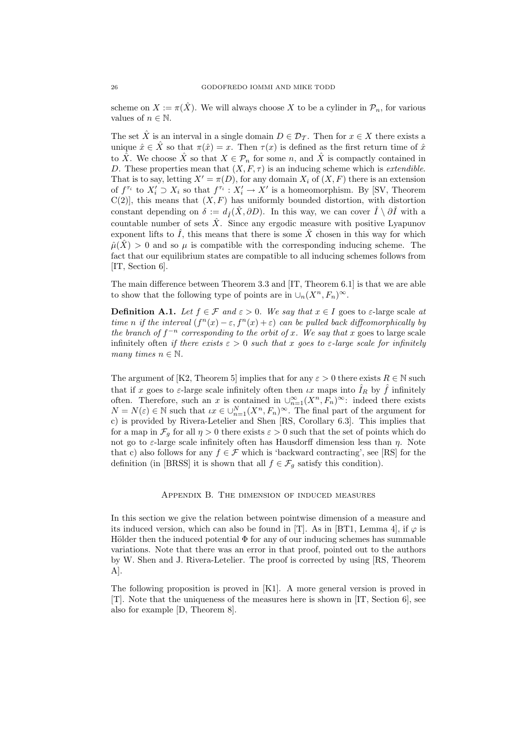scheme on  $X := \pi(\hat{X})$ . We will always choose X to be a cylinder in  $\mathcal{P}_n$ , for various values of  $n \in \mathbb{N}$ .

The set  $\hat{X}$  is an interval in a single domain  $D \in \mathcal{D}_{\mathcal{T}}$ . Then for  $x \in X$  there exists a unique  $\hat{x} \in \hat{X}$  so that  $\pi(\hat{x}) = x$ . Then  $\tau(x)$  is defined as the first return time of  $\hat{x}$ to  $\hat{X}$ . We choose  $\hat{X}$  so that  $X \in \mathcal{P}_n$  for some n, and  $\hat{X}$  is compactly contained in D. These properties mean that  $(X, F, \tau)$  is an inducing scheme which is *extendible*. That is to say, letting  $X' = \pi(D)$ , for any domain  $X_i$  of  $(X, F)$  there is an extension of  $f^{\tau_i}$  to  $X'_i \supset X_i$  so that  $f^{\tau_i}: X'_i \to X'$  is a homeomorphism. By [SV, Theorem  $C(2)$ , this means that  $(X, F)$  has uniformly bounded distortion, with distortion constant depending on  $\delta := d_{\hat{I}}(\hat{X}, \partial D)$ . In this way, we can cover  $\hat{I} \setminus \partial \hat{I}$  with a countable number of sets  $\hat{X}$ . Since any ergodic measure with positive Lyapunov exponent lifts to  $\hat{I}$ , this means that there is some  $\hat{X}$  chosen in this way for which  $\hat{\mu}(\hat{X}) > 0$  and so  $\mu$  is compatible with the corresponding inducing scheme. The fact that our equilibrium states are compatible to all inducing schemes follows from [IT, Section 6].

The main difference between Theorem 3.3 and [IT, Theorem 6.1] is that we are able to show that the following type of points are in  $\cup_n (X^n, F_n)^\infty$ .

**Definition A.1.** Let  $f \in \mathcal{F}$  and  $\varepsilon > 0$ . We say that  $x \in I$  goes to  $\varepsilon$ -large scale at time n if the interval  $(f^{n}(x) - \varepsilon, f^{n}(x) + \varepsilon)$  can be pulled back diffeomorphically by the branch of  $f^{-n}$  corresponding to the orbit of x. We say that x goes to large scale infinitely often if there exists  $\varepsilon > 0$  such that x goes to  $\varepsilon$ -large scale for infinitely many times  $n \in \mathbb{N}$ .

The argument of [K2, Theorem 5] implies that for any  $\varepsilon > 0$  there exists  $R \in \mathbb{N}$  such that if x goes to  $\varepsilon$ -large scale infinitely often then  $\iota x$  maps into  $\hat{I}_R$  by  $\hat{f}$  infinitely often. Therefore, such an x is contained in  $\cup_{n=1}^{\infty} (X^n, F_n)^\infty$ : indeed there exists  $N = N(\varepsilon) \in \mathbb{N}$  such that  $\iota x \in \bigcup_{n=1}^{N} (X^n, F_n)^\infty$ . The final part of the argument for c) is provided by Rivera-Letelier and Shen [RS, Corollary 6.3]. This implies that for a map in  $\mathcal{F}_q$  for all  $\eta > 0$  there exists  $\varepsilon > 0$  such that the set of points which do not go to  $\varepsilon$ -large scale infinitely often has Hausdorff dimension less than  $\eta$ . Note that c) also follows for any  $f \in \mathcal{F}$  which is 'backward contracting', see [RS] for the definition (in [BRSS] it is shown that all  $f \in \mathcal{F}_q$  satisfy this condition).

### Appendix B. The dimension of induced measures

In this section we give the relation between pointwise dimension of a measure and its induced version, which can also be found in [T]. As in [BT1, Lemma 4], if  $\varphi$  is Hölder then the induced potential  $\Phi$  for any of our inducing schemes has summable variations. Note that there was an error in that proof, pointed out to the authors by W. Shen and J. Rivera-Letelier. The proof is corrected by using [RS, Theorem A].

The following proposition is proved in [K1]. A more general version is proved in [T]. Note that the uniqueness of the measures here is shown in [IT, Section 6], see also for example [D, Theorem 8].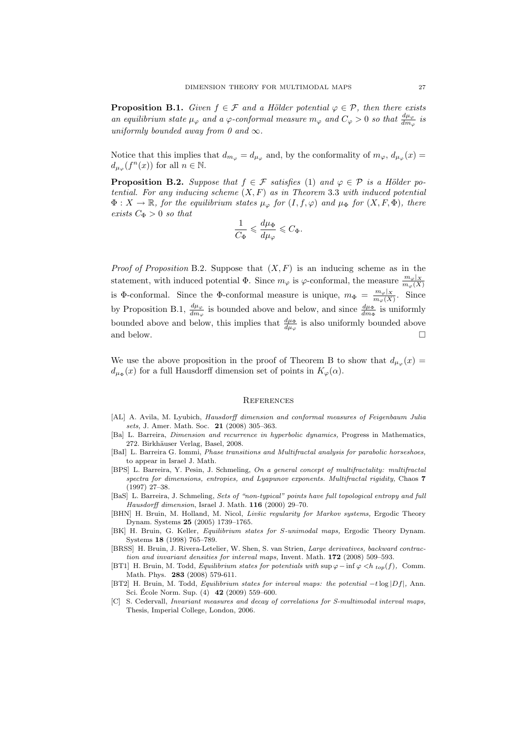**Proposition B.1.** Given  $f \in \mathcal{F}$  and a Hölder potential  $\varphi \in \mathcal{P}$ , then there exists an equilibrium state  $\mu_{\varphi}$  and a  $\varphi$ -conformal measure  $m_{\varphi}$  and  $C_{\varphi} > 0$  so that  $\frac{d\mu_{\varphi}}{dm_{\varphi}}$  is uniformly bounded away from 0 and  $\infty$ .

Notice that this implies that  $d_{m_{\varphi}} = d_{\mu_{\varphi}}$  and, by the conformality of  $m_{\varphi}$ ,  $d_{\mu_{\varphi}}(x) =$  $d_{\mu_{\varphi}}(f^n(x))$  for all  $n \in \mathbb{N}$ .

**Proposition B.2.** Suppose that  $f \in \mathcal{F}$  satisfies (1) and  $\varphi \in \mathcal{P}$  is a Hölder potential. For any inducing scheme  $(X, F)$  as in Theorem 3.3 with induced potential  $\Phi: X \to \mathbb{R}$ , for the equilibrium states  $\mu_{\varphi}$  for  $(I, f, \varphi)$  and  $\mu_{\Phi}$  for  $(X, F, \Phi)$ , there exists  $C_{\Phi} > 0$  so that

$$
\frac{1}{C_\Phi}\leqslant \frac{d\mu_\Phi}{d\mu_\varphi}\leqslant C_\Phi.
$$

*Proof of Proposition B.2.* Suppose that  $(X, F)$  is an inducing scheme as in the statement, with induced potential  $\Phi$ . Since  $m_{\varphi}$  is  $\varphi$ -conformal, the measure  $\frac{m_{\varphi}|X}{m_{\varphi}(X)}$ is Φ-conformal. Since the Φ-conformal measure is unique,  $m_{\Phi} = \frac{m_{\varphi}|X}{m_{\varphi}(X)}$ . Since by Proposition B.1,  $\frac{d\mu_{\varphi}}{dm_{\varphi}}$  is bounded above and below, and since  $\frac{d\mu_{\Phi}}{dm_{\Phi}}$  is uniformly bounded above and below, this implies that  $\frac{d\mu_{\Phi}}{d\mu_{\varphi}}$  is also uniformly bounded above and below.  $\Box$ 

We use the above proposition in the proof of Theorem B to show that  $d_{\mu_{\varphi}}(x) =$  $d_{\mu_{\Phi}}(x)$  for a full Hausdorff dimension set of points in  $K_{\varphi}(\alpha)$ .

#### **REFERENCES**

- [AL] A. Avila, M. Lyubich, Hausdorff dimension and conformal measures of Feigenbaum Julia sets, J. Amer. Math. Soc. 21 (2008) 305–363.
- [Ba] L. Barreira, Dimension and recurrence in hyperbolic dynamics, Progress in Mathematics, 272. Birkhäuser Verlag, Basel, 2008.
- [BaI] L. Barreira G. Iommi, Phase transitions and Multifractal analysis for parabolic horseshoes, to appear in Israel J. Math.
- [BPS] L. Barreira, Y. Pesin, J. Schmeling, On a general concept of multifractality: multifractal spectra for dimensions, entropies, and Lyapunov exponents. Multifractal rigidity, Chaos 7 (1997) 27–38.
- [BaS] L. Barreira, J. Schmeling, Sets of "non-typical" points have full topological entropy and full Hausdorff dimension, Israel J. Math. 116 (2000) 29–70.
- [BHN] H. Bruin, M. Holland, M. Nicol, Livšic regularity for Markov systems, Ergodic Theory Dynam. Systems 25 (2005) 1739–1765.
- [BK] H. Bruin, G. Keller, Equilibrium states for S-unimodal maps, Ergodic Theory Dynam. Systems 18 (1998) 765–789.
- [BRSS] H. Bruin, J. Rivera-Letelier, W. Shen, S. van Strien, Large derivatives, backward contraction and invariant densities for interval maps, Invent. Math. 172 (2008) 509–593.
- [BT1] H. Bruin, M. Todd, *Equilibrium states for potentials with* sup  $\varphi$  − inf  $\varphi$  <h <sub>top</sub>(f), Comm. Math. Phys. 283 (2008) 579-611.
- [BT2] H. Bruin, M. Todd, Equilibrium states for interval maps: the potential -tlog |Df|, Ann. Sci. École Norm. Sup.  $(4)$  **42** (2009) 559–600.
- [C] S. Cedervall, Invariant measures and decay of correlations for S-multimodal interval maps, Thesis, Imperial College, London, 2006.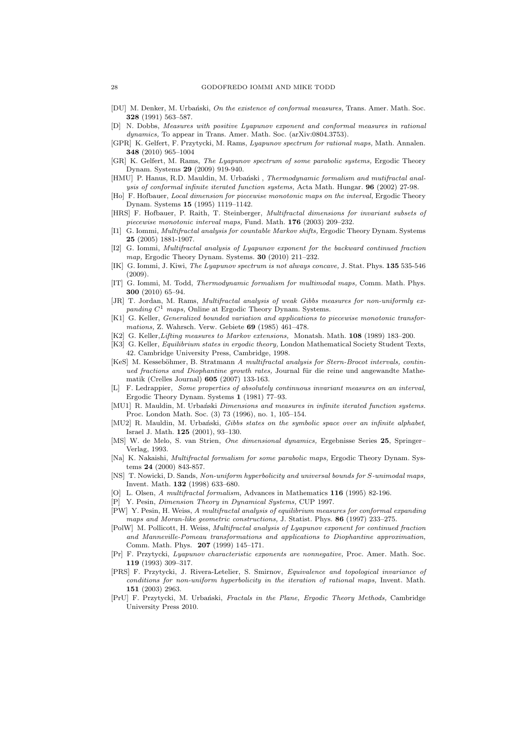- [DU] M. Denker, M. Urbański, On the existence of conformal measures, Trans. Amer. Math. Soc. 328 (1991) 563–587.
- [D] N. Dobbs, Measures with positive Lyapunov exponent and conformal measures in rational dynamics, To appear in Trans. Amer. Math. Soc. (arXiv:0804.3753).
- [GPR] K. Gelfert, F. Przytycki, M. Rams, Lyapunov spectrum for rational maps, Math. Annalen. 348 (2010) 965–1004
- [GR] K. Gelfert, M. Rams, The Lyapunov spectrum of some parabolic systems, Ergodic Theory Dynam. Systems 29 (2009) 919-940.
- [HMU] P. Hanus, R.D. Mauldin, M. Urbański, Thermodynamic formalism and mutifractal analysis of conformal infinite iterated function systems, Acta Math. Hungar. 96 (2002) 27-98.
- [Ho] F. Hofbauer, Local dimension for piecewise monotonic maps on the interval, Ergodic Theory Dynam. Systems 15 (1995) 1119–1142.
- [HRS] F. Hofbauer, P. Raith, T. Steinberger, Multifractal dimensions for invariant subsets of piecewise monotonic interval maps, Fund. Math. 176 (2003) 209–232.
- [I1] G. Iommi, Multifractal analysis for countable Markov shifts, Ergodic Theory Dynam. Systems 25 (2005) 1881-1907.
- [I2] G. Iommi, Multifractal analysis of Lyapunov exponent for the backward continued fraction map, Ergodic Theory Dynam. Systems. 30 (2010) 211–232.
- [IK] G. Iommi, J. Kiwi, *The Lyapunov spectrum is not always concave*, J. Stat. Phys. **135** 535-546 (2009).
- [IT] G. Iommi, M. Todd, Thermodynamic formalism for multimodal maps, Comm. Math. Phys. 300 (2010) 65–94.
- [JR] T. Jordan, M. Rams, Multifractal analysis of weak Gibbs measures for non-uniformly expanding  $C^1$  maps, Online at Ergodic Theory Dynam. Systems.
- [K1] G. Keller, Generalized bounded variation and applications to piecewise monotonic transformations, Z. Wahrsch. Verw. Gebiete 69 (1985) 461–478.
- [K2] G. Keller,Lifting measures to Markov extensions, Monatsh. Math. 108 (1989) 183–200.
- [K3] G. Keller, *Equilibrium states in ergodic theory*, London Mathematical Society Student Texts, 42. Cambridge University Press, Cambridge, 1998.
- [KeS] M. Kesseböhmer, B. Stratmann A multifractal analysis for Stern-Brocot intervals, continued fractions and Diophantine growth rates, Journal für die reine und angewandte Mathematik (Crelles Journal) 605 (2007) 133-163.
- [L] F. Ledrappier, Some properties of absolutely continuous invariant measures on an interval, Ergodic Theory Dynam. Systems 1 (1981) 77–93.
- [MU1] R. Mauldin, M. Urbański Dimensions and measures in infinite iterated function systems. Proc. London Math. Soc. (3) 73 (1996), no. 1, 105–154.
- [MU2] R. Mauldin, M. Urbański, Gibbs states on the symbolic space over an infinite alphabet, Israel J. Math. 125 (2001), 93–130.
- [MS] W. de Melo, S. van Strien, One dimensional dynamics, Ergebnisse Series 25, Springer– Verlag, 1993.
- [Na] K. Nakaishi, Multifractal formalism for some parabolic maps, Ergodic Theory Dynam. Systems 24 (2000) 843-857.
- [NS] T. Nowicki, D. Sands, Non-uniform hyperbolicity and universal bounds for S-unimodal maps, Invent. Math. 132 (1998) 633–680.
- [O] L. Olsen, A multifractal formalism, Advances in Mathematics 116 (1995) 82-196.
- Y. Pesin, Dimension Theory in Dynamical Systems, CUP 1997.
- [PW] Y. Pesin, H. Weiss, A multifractal analysis of equilibrium measures for conformal expanding maps and Moran-like geometric constructions, J. Statist. Phys. 86 (1997) 233–275.
- [PolW] M. Pollicott, H. Weiss, Multifractal analysis of Lyapunov exponent for continued fraction and Manneville-Pomeau transformations and applications to Diophantine approximation, Comm. Math. Phys. 207 (1999) 145–171.
- [Pr] F. Przytycki, Lyapunov characteristic exponents are nonnegative, Proc. Amer. Math. Soc. 119 (1993) 309–317.
- [PRS] F. Przytycki, J. Rivera-Letelier, S. Smirnov, Equivalence and topological invariance of conditions for non-uniform hyperbolicity in the iteration of rational maps, Invent. Math. 151 (2003) 2963.
- [PrU] F. Przytycki, M. Urbański, Fractals in the Plane, Ergodic Theory Methods, Cambridge University Press 2010.